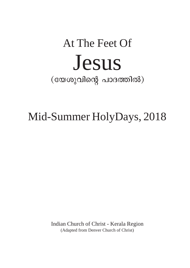# At The Feet Of Jesus  $(\texttt{conv}(\texttt{col}) \texttt{col}(\texttt{col}) \texttt{col})$

## Mid-Summer HolyDays, 2018

Indian Church of Christ - Kerala Region (Adapted from Denver Church of Christ)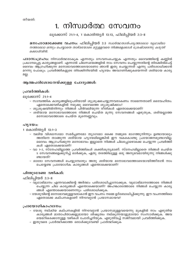### 1. നിസ്വാർത്ഥ സേവനം

ലൂക്കോസ് 21:1-4, 1 കൊരിന്ത്യർ 13:13, ഫിലിപ്പിയർ 2:3-8

മനഃപാഠമാക്കേണ്ട വചനം: ഫിലിപ്പിയർ 2:3 *സാർത്ഥതാത്പര്യത്താലോ വൃഥാഭിമാ* നത്താലോ ഒന്നും ചെയ്യാതെ താഴ്മയോടെ മറ്റുള്ളവരെ നിങ്ങളെക്കാൾ ശ്രേഷ്ഠരെന്നു കരുതി ക്കൊൾവിൻ.

പാഠസംഗ്രഹാ: നിസ്വാർത്ഥരാകുക എന്നതും സേവനംചെയ്യുക എന്നതും ദൈവത്തിന്റെ കണ്ണിൽ പ്രധാനപ്പെട്ട കാര്യങ്ങളാണ്. എന്നാൽ ചിലസമയങ്ങളിൽ നാം സേവനം ചെയ്യുന്നതിന്റെ തിരക്കിൽപെട്ട് ദൈവം ആഗ്രഹിക്കുന്ന മനോഭാവത്തോടെയാണോ ഞാൻ ഇതു ചെയ്യുന്നത് എന്നു പരിശോധിക്കാൻ മറന്നു പോകും. പ്രവർത്തികളുടെ തിരക്കിനിടയിൽ ഹൃദയം അവഗണിക്കുകയെന്നത് ശരിയായ കാര്യ മല്ല.

#### ആത്മപരിശോധനയ്ക്കുള്ള ചോദ്യങ്ങൾ:

#### പ്രവർത്തികൾ:

ലൂക്കോസ് 21:1-4

- സാമ്പത്തിക കാര്യങ്ങളിലുപരിയായി ശുശ്രൂഷചെയ്യുന്നവരാകണം നാമെന്നതാണ് ദൈവഹിതം. ഏതൊക്കെവഴികളിൽ നമുക്കു ദൈവത്തെ ശുശ്രൂഷിക്കാം?
- ശുശ്രൂഷയിൽനിന്നും നിങ്ങൾ പിൻവലിയുന്ന രീതികൾ ഏതൊക്കെയാണ്?
- ശരിയായ മനോഭാവത്തോടെ നിങ്ങൾ ചെയ്ത മൂന്നു സേവനങ്ങൾ എഴുതുക, ശരിയല്ലാത്ത മനോഭാവത്തോടെ ചെയ്ത മൂന്നെണ്ണവും.

#### ഹൂദയം:

1 കൊരിന്ത്യർ 13:1–3

- വലിയ വിശ്വാസമോ സമർപ്പണമോ ത്യാഗമോ ഒക്കെ നമ്മുടെ ഭാഗത്തുനിന്നും ഉണ്ടായാലും അതിനെ താങ്ങുന്ന ശരിയായ ഹൃദയമിലെങ്കിൽ ഈ വകകൊണ്ടു പ്രയോജനമുണ്ടാവില്ല. ദൈവം ആഗ്രഹിക്കുന്ന മനോഭാവം ഇല്ലാതെ നിങ്ങൾ ചിലപ്പോഴൊക്കെ ചെയ്യുന്ന പ്രവർത്തി കൾ ഏതൊക്കെയാണ്?
- വാ 1–2, സ്നേഹമിലാത്ത പ്രവർത്തികൾ ശക്തിശുന്യമാണ്. സ്നേഹമില്ലാതെ നിങ്ങൾ ചെയ്ത 5 സേവനങ്ങളെക്കുറിച്ച് ഓർക്കുക, ഏതു തരത്തിലുള്ള ഒരു അനുഭവമായിരുന്നു നിങ്ങൾക്കു ണ്ടായത്?
- ഓരോ സേവനങ്ങൾ ചെയ്യുമ്പോഴും അതു ശരിയായ മനോഭാവത്തോടെയായിത്തീരാൻ നാം ചെയ്യേണ്ട പ്രായോഗിക കാര്യങ്ങൾ എന്തൊക്കെയാണ്?

#### പിന്തുടരേണ്ട വഴികൾ:

ഫിലിപ്പിയർ 2:3-8

- വൃഥാഭിമാനം എന്നവാക്കിന്റെ അർത്ഥം പരിശോധിച്ചുനോക്കുക. വൃഥാഭിമാനത്തോടെ നിങ്ങൾ ചെയ്യുന്ന ചില കാര്യങ്ങൾ എന്തൊക്കെയാണ്? അഹങ്കാരത്തോടെ നിങ്ങൾ ചെയ്യുന്ന കാര്യ ങ്ങൾ എന്തൊക്കെയാണെന്നും പരിശോധിക്കുക.
- യേശുവിന്റെ മനോഭാവമുള്ളവരാകാൻ ഈ വചനം നമ്മെ ഉദ്ബോധിപ്പിക്കുന്നു. ഈ വചനത്തിലെ ഏതൊക്കെ കല്പനകളാണ് നിറവേറ്റാൻ പ്രയാസമായവ?

- യേശു നല്കിയ കല്പനകളിൽ നിറവേറ്റാൻ പ്രയാസമുള്ളവയെന്നു മുകളിൽ നാം എഴുതിയ കാര്യങ്ങൾ മാതാപിതാക്കളുമായോ ശിഷ്യത്വം നല്കുന്നയാളുമായോ സംസാരിക്കുക. അവ യെമറികടക്കാനുള്ള വഴികൾ ചോദിച്ചറിയുക. എഴുതിവച്ച് സജീവമായി പ്രവർത്തിക്കുക.
- ഇതുവരെ പ്രാർത്ഥിക്കാത്ത ഒരാൾക്കുവേണ്ടി പ്രാർത്ഥിക്കുക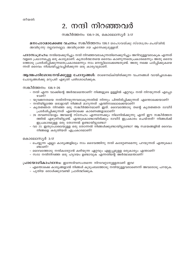### 2. നന്ദി നിറഞ്ഞവർ

സങ്കീർത്തനം 136:1-26, കൊലോസ്യർ 3:17

**മനഃപാഠമാക്കേണ്ട വചനം:** സങ്കീർത്തനം 136:1 *യഹോവയ്ക്കു സ്തോത്രം ചെയ്വിൻ*; അവിടുന്നു നല്ലവനല്ലോ; അവിടുത്തെ ദയ എന്നേക്കുമുള്ളത്.

**പാഠസംഗ്രഹാ:** നന്ദിയെക്കുറിച്ചും നന്ദി നിറഞ്ഞവരാകുന്നതിനെക്കുറിച്ചും അറിവുള്ളവരാകുക എന്നത് വളരെ പ്രധാനപ്പെട്ട ഒരു കാര്യമാണ്. കൃതാർത്ഥതയെ ദൈവം കാണുന്നതെപ്രകാരമെന്നും അതു ദൈവ ത്തോടു പ്രദർശിപ്പിക്കുന്നതെപ്രകാരമെന്നും നാം മനസ്സിലാക്കേണ്ടതുണ്ട്. അതു നമ്മെ പഠിപ്പിക്കുകയെ ന്നത് ദൈവം നിശ്ചയിച്ചുവച്ചിരിക്കുന്ന ഒരു കാരൃവുമാണ്.

**ആത്മപരിശോധനയ്ക്കുള്ള ചോദ്യങ്ങൾ:** താഴെനല്കിയിരിക്കുന്ന വചനങ്ങൾ വായിച്ചശേഷം ചോദ്യങ്ങൾക്കു മറുപടി എഴുതി പരിശോധിക്കുക.

സങ്കീർത്തനം 136:1–26

- നന്ദി എന്ന വാക്കിന്റെ അർത്ഥമെന്താണ്? നിങ്ങളുടെ ഉള്ളിൽ ഏറ്റവും നന്ദി നിറയുന്നത് എപ്പോ ഗേണ്?
- യുവജനതയെ നന്ദിനിറയുന്നവരാകുന്നതിൽ നിന്നും പിന്തിരിപിക്കുന്നത് എന്തൊക്കെയാണ്?
- നന്ദിയില്ലാത്ത ഒരാളായി നിങ്ങൾ മാറുന്നത് എന്തിനാലൊക്കെയാണ്?
- കൃതജ്ഞത നിറഞ്ഞ ഒരു സങ്കീർത്തനമാണ് ഇത്. ദൈവത്തോടു തന്റെ കൃതജ്ഞത ദാവീദ് പ്രദർശിപിക്കുന്നത് എന്തൊക്കെ കാരണങ്ങളാലാണ്?
- 26 തവണയോളം അവന്റെ സ്നേഹം എന്നന്നേക്കും നിലനിൽക്കുന്നു എന്ന് ഈ സങ്കീർത്തന ്ത്തിൽ എഴുതിയിട്ടുണ്ട്. എന്തുകൊണ്ടായിരിക്കും ദാവീദ് ഇപ്രകാരം ചെയ്തത്? നിങ്ങൾക്ക് ഇപ്രകാരമുള്ള ഒരു തോന്നൽ ഉണ്ടായിട്ടുണ്ടോ?
- വാ 23. ഇതുപോലെയുള്ള ഒരു തോന്നൽ നിങ്ങൾക്കുണ്ടായിട്ടുണ്ടോ? ആ സമയങ്ങളിൽ ദൈവം നിങ്ങളെ കരുതിയത് എപ്രകാരമാണ്?

കൊലോസ്യർ 3:17

- ചെയ്യുന്ന എല്ലാ കാര്യങ്ങളിലും നാം ദൈവത്തിനു നന്ദി കരേറ്റണമെന്നു പറയുന്നത് എന്തുകൊ ണ്ടാണ്?
- ദൈവത്തോടു നന്ദികരേറ്റാൻ കഴിയുന്ന ഏറ്റവും എളുപ്പമുള്ള ഒരുകാര്യം എന്താണ്?
- സദാ നന്ദിനിറഞ്ഞ ഒരു ഹൃദയം ഉണ്ടാവുക് എന്നതിന്റെ അർത്ഥമെന്താണ്?

പ്രായോഗികാഹ്വാനം: ഇന്നേദിവസംതന്നെ നിറവേറ്റാനുള്ളതാണ് ഇവ!

- എന്തൊക്കെ കാര്യങ്ങളാൽ നിങ്ങൾ കുടുംബത്തോടു നന്ദിയുള്ളവരാണെന്ന് അവരോടു പറയുക.
- പുതിയ ഒരാൾക്കുവേണ്ടി പ്രാർത്ഥിക്കുക.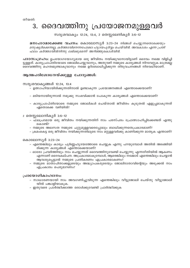### 3. ദൈവത്തിനു പ്രയോജനമുള്ളവർ

#### സദൃശവാക്യം 12:24, 13:4, 2 തെസ്സലേനികൃർ 3:6-12

മനഃപാഠമാക്കേണ്ട വചനം: കൊലോസ്യർ 3:23-24 *നിങ്ങൾ ചെയ്യുന്നതൊക്കെയും* മനുഷ്യർക്കെന്നല്ല, കർത്താവിനെന്നപോലെ ഹൃദയപൂർവ്വം ചെയ്വിൻ. അവകാശം എന്ന പ്രതി ഫലം കർത്താവിൽനിന്നു ലഭിക്കുമെന്ന് അറിഞ്ഞുകൊൾവിൻ.

പാഠസംഗ്രഹം: ഉപയോഗയോഗ്യമായ ഒരു ജീവിതം നയിക്കുവാനായിട്ടാണ് ദൈവം നമ്മെ വിളിച്ചി ട്ടുള്ളത്. കാര്യപ്രാപ്തിയോടെ ജോലിചെയ്യുവാനും, അതുവഴി നമ്മുടെ കാര്യങ്ങൾ നിറവേറ്റുക മാത്രമല്ല ദൈവത്തിനു മഹത്വമുണ്ടാകുവാനും നമ്മെ ഉദ്ബോധിപ്പിക്കുന്ന തിരുവചനങ്ങൾ നിരവധിയാണ്.

#### ആത്മപരിശോധനയ്ക്കുള്ള ചോദ്യങ്ങൾ:

#### സദൃശവാകൃങ്ങൾ 12:24, 13:4

- ഉത്സാഹിയായിരിക്കുന്നതിനാൽ ഉണ്ടാകുന്ന പ്രയോജനങ്ങൾ എന്തൊക്കെയാണ്?
- മടിയനായിരുന്നാൽ നമുക്കു സംഭവിക്കാൻ പോകുന്ന കാര്യങ്ങൾ എന്തൊക്കെയാണ്?
- കാര്യപ്രാപ്തിയോടെ നമ്മുടെ ജോലികൾ ചെയ്താൽ ജീവിതം കൂടുതൽ എളുപ്പമാകുന്നത് ഏതൊക്കെ വഴിയിൽ?

#### 2 തെസ്സലോനികൃർ 3:6–12

- ഫലപ്രദമായ ഒരു ജീവിതം നയിക്കുന്നതിന് നാം പരസ്പരം പ്രോത്സാഹിപ്പിക്കേണ്ടത് എന്തു കൊണ്ട്?
- നമ്മുടെ അലസത നമ്മുടെ ചുറ്റുമുള്ളവരെപ്പോലും ബാധിക്കുന്നതെപ്രകാരമാണ്?
- ക്രമംകെട്ട ഒരു ജീവിതം നയിക്കുന്നതിലൂടെ നാം മറ്റുള്ളവർക്കു കാണിക്കുന്ന മാതൃക എന്താണ്?

#### കൊലോസ്യർ 3:23–24

- എന്തെങ്കിലും കാര്യം പൂർണ്ണഹൃദയത്തോടെ ചെയ്യുക എന്നു പറയുമ്പോൾ അതിൽ അടങ്ങിയി രിക്കുന്ന കാര്യങ്ങൾ എന്തൊക്കെയാണ്?
- ഓരോ പ്രവർത്തിയും നാം ചെയ്യുന്നത് ദൈവത്തിനുവേണ്ടി ചെയ്യുന്നു എന്നരീതിയിൽ ആകണം എന്നാണ് ദൈവകല്പന. അപ്രകാരമാകുമ്പോൾ, ആരെങ്കിലും നമ്മോട് എന്തെങ്കിലും ചെയ്യാൻ ആവശ്യപ്പെട്ടാൽ നമ്മുടെ പ്രതികരണം എപ്രകാരമാകണം?
- നമ്മുടെ മാതാപിതാക്കളുടെയും അദ്ധ്യാപകരുടെയും ജോലിദാതാവിന്റെയും അടുക്കൽ നാം എപ്രകാരം പെരുമാറണം?

- സാധാരണയായി നാം അവഗണിച്ചുവിടുന്ന എന്തെങ്കിലും വീട്ടുജോലി ചെയ്തു വീട്ടുജോലി യിൽ പങ്കാളിയാകുക.
- ഇതുവരെ പ്രാർത്ഥിക്കാത്ത ഒരാൾക്കുവേണ്ടി പ്രാർത്ഥിക്കുക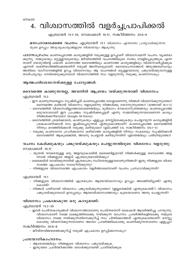### 4. വിശ്വാസത്തിൽ വളർച്ചപ്രാപിക്കൽ

എബ്രായർ 11:1-39, റോമാക്കാർ 10:17, സങ്കീർത്തനം 20:6-8

#### മനഃപാഠമാക്കേണ്ട വചനം: എബ്രായർ 11:1 *വിശ്വാസം എന്നതോ പ്രത്യാശിക്കുന്നവ* യുടെ ഉറപ്പും അദൃശൃകാര്യങ്ങളുടെ നിശ്ചയവും ആകുന്നു.

**പാഠസംഗ്രഹാ:** കാണപ്പെടാത്ത കാര്യങ്ങളിൽ നമുക്കുള്ള ഉറപ്പാണ് വിശ്വാസമെന്ന് വചനം വ്യക്തമാ ക്കുന്നു. നമ്മുടെയും മറ്റുള്ളവരുടെയും ജീവിതത്തിൽ വചനത്തിലൂടെ സ്വയം വെളിപ്പെടുത്തുക എന്ന താണ് യേശുവിന്റെ പദ്ധതി. കാണാത്ത ദൈവത്തിലും കാണാത്ത കാര്യങ്ങളിലും വിശ്വാസമർപ്പിക്കുക എന്നത് ശക്തിയാർജ്ജിക്കേണ്ടതിന് നമുക്ക് അനിവാര്യമാണ്. ദൈവവചനത്തോട് അടുത്തബന്ധവും അതിലെ വാഗ്ദാനങ്ങളിൽ ഉറച്ച വിശ്വാസവും ആ വചനങ്ങൾ മറ്റുള്ളവരോടു പങ്കുവയ്ക്കുവാനുള്ള താത്പര്യവും നേടിയെടുക്കുമ്പോൾ വിശ്വാസത്തിൽ നാം വളരുന്നതു നമുക്കു കാണാനാകും.

#### ആത്മപരിശോധനയ്ക്കുള്ള ചോദ്യങ്ങൾ:

#### ദൈവത്തെ കാണുന്നതല്ല, അവനിൽ ആശ്രയം വയ്ക്കുന്നതാണ് വിശ്വാസം:

എബ്രായർ 11:3

- ഈ കാണുന്നതെല്ലാം സൃഷ്ടിച്ചത് കാണപ്പെടാത്ത ഒരാളാണെന്നു നിങ്ങൾ വിശ്വസിക്കുന്നുണ്ടോ? ദൈവത്തെ കണ്ടാൽ വിശ്വാസം വളരുമെന്നു നിങ്ങൾക്കു തോന്നുന്നുണ്ടോ? (മത്തായി 16:3–5)
- ദൈവത്തിൽ വിശ്വാസമില്ലാത്തവരാണെങ്കിലും, ഭൂരിഭാഗം ഭൗമശാസ്ത്രജ്ഞരും കാണപ്പെടാത്ത ഒരുവനാലാണ് ഈ പ്രപഞ്ചം സൃഷ്ടിക്കപ്പെട്ടത് എന്നു സമ്മതിക്കുന്നവരാണെന്ന കാര്യം നിങ്ങൾക്കറിയാമോ? (Google: M-theory)
- ദൈവത്തിൽ ശ്രദ്ധിക്കാതെ, കാണുകയും എളുപ്പം മനസ്സിലാക്കുകയും ചെയ്യാവുന്ന കാര്യങ്ങളിൽ ശ്രദ്ധകാണിക്കാൻ നാം ഇഷ്ടപ്പെടുന്നത് എന്തുകൊണ്ടാണ്? കാണപ്പെടാത്ത ദൈവത്തിൽ നിന്നും മറഞ്ഞിരിക്കാൻ നമുക്കു കഴിയുമോ? (ഉല്പത്തി 3:8, സങ്കീർത്തനം 139:7-9)
- നമുക്കു കാണാനോ ഗ്രഹിക്കാനോ കഴിയാത്ത കാര്യങ്ങളിൽ നിന്നും സകലവും സൃഷ്ടിക്കാൻ ദൈവത്തിന് ആകുമെങ്കിൽ, അവനു ചെയ്യാൻ കഴിയുന്നതിന് എന്തെങ്കിലും പരിധിയുണ്ടോ?

#### വചനം കേൾക്കുകയും പങ്കുവയ്ക്കുകയും ചെയ്യുന്നതിലൂടെ വിശ്വാസം വളരുന്നു:

റോമാക്കാർ 10:17

- 1മുതൽ 10വരെയുള്ള ഒരു അളവുകോലിൽ ബൈബിളുമായി നിങ്ങൾക്കുള്ള ബന്ധത്തെ അള ന്നാൽ നിങ്ങളുടെ അളവ് എത്രമാത്രമായിരിക്കും?
- ബൈബിൾ വായിക്കുന്നതിൽ എത്രമാത്രം സ്ഥിരതയുള്ളവരാണുനിങ്ങൾ? ഇതു നിങ്ങളുടെ വിശ്വാ സത്തെ എപ്രകാരം സ്വാധീനിക്കുന്നു?
- നിങ്ങളുടെ വിശ്വാസത്തെ എപ്രകാരം വളർത്താമെന്നാണ് വചനം പ്രസ്ഥാവിക്കുന്നത്?

എബ്രായർ 11:1

- നിങ്ങളുടെ വിശ്വാസത്തിൽ എത്രമാത്രം ആത്മവിശ്വാസവും ഉറപ്പും അടങ്ങിയിട്ടുണ്ട്? എന്തു കൊണ്ട്?
- നിങ്ങൾ പതിവായി വിശ്വാസം പങ്കുവയ്ക്കുന്നുണ്ടോ? (ഇല്ലയെങ്കിൽ എന്തുകൊണ്ട്?) വിശ്വാസം പങ്കുവയ്ക്കുമ്പോൾ ഉറപ്പോടും ആത്മവിശ്വാസത്തോടും കൂടെയാണോ അതു ചെയ്യുന്നത്?

#### വിശ്വാസം പ്രകടമാകുന്ന ഒരു കാര്യമാണ്:

എബ്രായർ 11:2-39

– ഇവർ ചെയ്തകാര്യങ്ങൾ വിശ്വാസത്താലാണു ചെയ്തതെന്ന് ലേഖകൻ ആവർത്തിച്ചു പറയുന്നു. വിശ്വാസമാണ് നമ്മെ ലക്ഷ്യത്തിലേക്കു നയിക്കുന്ന വാഹനം. പ്രവർത്തികളിലേക്കു നമ്മുടെ വിശ്വാസം നമ്മെ നയിക്കുന്നതിനെക്കുറിച്ച് നാം ചിന്തിക്കാത്തത് എന്തുകൊണ്ടാണ്? മനസ്സു കൊണ്ടു വിശ്വസിക്കുന്നതാണോ അതോ പ്രവർത്തികൊണ്ടു കാണിക്കുന്നതാണോ എളുപ്പാ?

സങ്കീർത്തനം 20:6-8

– ജീവിതവിജയത്തെക്കുറിച്ച് നമുക്ക് എപ്രകാരം ഉറപ്പിക്കാനാകും?

- ആരോടെങ്കിലും നിങ്ങളുടെ വിശ്വാസം പങ്കുവയ്ക്കുക.
- ഇതുവരെ പ്രാർത്ഥിക്കാത്ത ഒരാൾക്കുവേണ്ടി പ്രാർത്ഥിക്കുക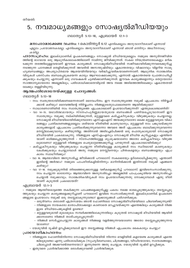### 5. നവമാധ്യമങ്ങളും സോഷ്യൽമീഡിയയും

ഗലാതൃർ 5:13-18, എബ്രായർ 12:1-3

മനഃപാഠമാക്കേണ്ട വചനം: 1 കൊരിന്ത്യർ 6:12 *എനിക്കെല്ലാം അനുവദനീയമാണ് എന്നാൽ* എല്ലാം പ്രയോജനകരമല്ല. എനിക്കെല്ലാം അനുവദനീയമാണ് എന്നാൽ ഞാൻ ഒന്നിനും അധീനനാകു കയില്ല.

**പാഠസംഗ്രഹാ:** ഇലക്ട്രോണിക് ഉപകരണങ്ങളും സോഷ്യൽ മീഡിയയുമെല്ലാം നമ്മുടെ അനുദിനജീവിത ത്തിന്റെ ഭാഗമായ ഒരു ആധുനികലോകത്തിലാണ് നാമിന്നു ജീവിക്കുന്നത്. സകല നിയന്ത്രണരേഖകളും മറിക ടക്കുന്ന തരത്തിലുള്ളവയാണ് ഈവക കാര്യങ്ങൾ. സോഷ്യൽമീഡിയയിൽ സജീവമായിരിക്കുന്നവരെക്കുറിച്ചു നടത്തുന്ന പഠനങ്ങൾ തെളിയിക്കുന്നത് അവരിൽ അസന്തുഷ്ടിയും ഏകാന്തതയും വിഷാദവും വിളറിയ സാമൂ ഹ്യബന്ധങ്ങളും അപര്യാപ്തമായ ആശയവിനിമയവും വർദ്ധിച്ചുവരികയാണെന്നാണ്. ആധുനിക സാങ്കേതിക വിദ്യകൾ പരസ്പരം ബന്ധപ്പെടുകയെന്ന കാര്യം ആഘോഷമാക്കുന്നു, എന്നാൽ ഏകാന്തതയെ പ്രോത്സാഹിപ്പി ക്കുകയും ചെയ്യുന്നു എന്നാണ് ഒരു ഗവേഷകൻ ചൂണ്ടിക്കാണിക്കുന്നത്. ഈവക കാര്യങ്ങളൊന്നും തെറ്റായതോ സാത്താന്യമായതോ അല്ലെങ്കിലും, പരിശോധിക്കാതെവിട്ടാൽ അവ നമ്മെ അടിമത്തത്തിലേക്കും ഏകാന്തതയി ലേക്കും തള്ളിവിടുന്നു.

#### ആത്മപരിശോധനയ്ക്കുള്ള ചോദൃങ്ങൾ:

ഗലാതൃർ 5:13–18

- നാം സ്വതന്ത്രരായിരിക്കണമെന്നതാണ് ദൈവഹിതം. ഈ സ്വാതന്ത്ര്യത്തെ നമുക്ക് എപ്രകാരം നിർവ്വചി ക്കാൻ കഴിയും? ദൈവത്തിന്റെ നിർവ്വചനം നിങ്ങളുടേതുപോലെതന്നെ ആയിരിക്കുമോ?
- സാധാരണഗതിയിൽ നാം സ്വാതന്ത്ര്യത്തെ എപ്രകാരമാണ് ഉപയോഗിക്കുന്നത്? എന്തുകൊണ്ടാണിത്?
- വാ 14-15. യഥാർത്ഥമായതും സ്നേഹപൂർണ്ണമായതുമായ ബന്ധങ്ങൾ പണിയപ്പെടുവാനാണ് ഈ
- സ്വാതന്ത്ര്യം നമുക്കു നല്കിയിരിക്കുന്നത്, മറ്റുള്ളവരെ കടിച്ചുകീറുകയും വിഴുങ്ങുകയും ചെയ്യാനല്ല. സോഷ്യൽ മീഡിയയിലായിരിക്കുമ്പോഴോ എസ്എംഎസ് അയക്കുമ്പോഴോ ഒക്കെ മറ്റുള്ളവരുടെ വികാ രങ്ങളും പ്രതികരണങ്ങളുമെല്ലാം ശരിയായ രീതിയിൽ കാണുവാനും, മറ്റുള്ളവർ നാം പങ്കുവയ്ക്കുന്ന കാര്യങ്ങളോട് എപ്രകാരം പ്രതികരിക്കുന്നുവെന്നോ അവരെ അത് എപ്രകാരം ബാധിക്കുന്നുവെന്നോ മനസ്സിലാക്കുവാനും കഴിയുന്നില്ല. അതിനാൽ അടിച്ചേല്പിക്കൽ ഒരു പൊതുകാര്യമായി സോഷ്യൽ മീഡിയയിൽ പ്രകടമാകുന്നു. നിങ്ങളുടെ എസ്എംഎസും സോഷ്യൽ മീഡിയ കുറിപ്പുകളും എന്തിനെ യാണ് ഓർമ്മപ്പെടുത്തുന്നത് – സ്നേഹത്തിലുള്ള ശുശ്രൂഷയാണോ അതോ കടിച്ചുകീറലും വിഴുങ്ങ ലുമാണോ? മറ്റുള്ളവർ നിങ്ങളുടെ പെരുമാറ്റത്തെക്കുറിച്ചു പറയുന്നത് എപ്രകാരമായിരിക്കും?
- കടിച്ചുകീറുകയും വിഴുങ്ങുകയും ചെയ്യുന്ന രീതിയിലുള്ള കാര്യങ്ങൾ നാം സ്ഥിരമായി കാണുകയും കേൾക്കുകയും ചെയ്യുമ്പോൾ അതു നമ്മുടെ മനസ്സിനെയും ചിന്തകളെയും ബന്ധങ്ങളെയും എപ്ര കാരം സ്വാധീനിക്കും?
- വാ 16. ആത്മാവിനെ അനുസരിച്ചു ജീവിക്കാൻ പൗലോസ് സകലരെയും ഉദ്ബോധിപ്പിക്കുന്നു. എന്താണ്
- ഇതിന്റെ അർത്ഥം? നമ്മുടെ പാപരീതികളിൽനിന്നും മാറിനിൽക്കാൻ ഇതിനാൽ നമുക്ക് എങ്ങനെ കഴിയും?
- വാ 17–18. നമുക്കുമുന്നിൽ തിരഞ്ഞെടുക്കാനുള്ള വഴികളെക്കുറിച്ച് പൗലോസ് ഇവിടെസംസാരിക്കുന്നു. നാം ചെയ്യുന്ന ഓരോന്നും ആത്മാവിനെ അനുസരിച്ചോ അല്ലെങ്കിൽ പാപപ്രകൃതിയെ അനുസരിച്ചോ ചെയ്യാൻ നമുക്കാവും. സാങ്കേതികവിദൃകൾ നാം ഉപയോഗിക്കുന്നതു നോക്കുമ്പോൾ ഏതു രീതി

ളുടെ മീഡിയപേജുകളിൽ ഉണ്ടോ?

ക്കാനാണോ നിങ്ങൾ താത്പര്യപ്പെടുന്നത്?

എബ്രായർ 12:1-3

ത്തുകയും ചെയ്യുന്ന കാര്യങ്ങളെക്കുറിച്ചാണ് പൗലോസ് ഇവിടെ സംസാരിക്കുന്നത്. ഇലക്ട്രോണിക് ഉപകരണ

ങ്ങളുടെ ഉപയോഗം നമുക്ക് ഒരു തടസ്സമാകുന്നുണ്ടോ? ഇക്കാര്യങ്ങൾ പരിഗണിക്കുക:

– നമ്മുടെ ആത്മീയഓട്ടത്തെ തകർക്കുന്ന പാപങ്ങളെക്കുറിച്ചല്ല പകരം നമ്മെ ഭാരപ്പെടുത്തുകയും തടസ്സപ്പെടു

- ഒരുദിവസം ശരാശരി എത്രസമയം ഞാൻ ഫോണിലോ സോഷ്യൽമീഡിയയിലോ ചിലവഴിക്കുന്നുണ്ട്? – നിങ്ങളുടെ നായകരോ മാതാപിതാക്കളോ കാണാതെ മറച്ചുവയ്ക്കുന്ന എന്തെങ്കിലും കാര്യങ്ങൾ നിങ്ങ

– മറ്റുള്ളവരുമായി മുഖാമുഖം സമ്പർക്കത്തിലാകുന്നതിലും കൂടുതൽ സോഷ്യൽ മീഡിയയിൽ ആയിരി

- നിങ്ങൾ സെർച്ചുചെയ്യുന്ന കാര്യങ്ങൾ നിങ്ങളെ വളർത്തുന്നവയാണോ അതോ തടസ്സപ്പെടുത്തുന്നവ

## യാണ് കൂടുതൽ പ്രകടമായത്?

 $\omega$ ocamo? - യേശുവിൽ ദൃഷ്ടി ഉറപ്പിക്കുമ്പോൾ ഈ തടസ്സങ്ങളെ നിങ്ങൾ എപ്രകാരം കൈകാര്യം ചെയ്യും?

- പ്രായോഗികാഹ്വാനം:
	- നിങ്ങളുടെ ഫോണിൽനിന്നോ സോഷ്യൽമീഡിയയിൽ നിന്നോ വെളിയിൽ കളയേണ്ട കാര്യങ്ങൾ എന്തെ ങ്കിലുമുണ്ടോ എന്നു പരിശോധിക്കുക (സുഹൃദ്ബന്ധമോ, ചിത്രങ്ങളോ, വീഡിയോയോ, സന്ദേശങ്ങളോ,
	- ചിലപ്പോൾ അക്കൗണ്ട്തന്നെയോ)? ഇന്നുതന്നെ അതു ചെയ്യുക. യേശുവിൽ ദൃഷ്ടി ഉറപ്പിക്കുക.
	- ഇതുവരെ പ്രാർത്ഥിക്കാത്ത ഒരാൾക്കുവേണ്ടി പ്രാർത്ഥിക്കുക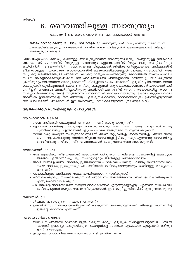### 6. ദൈവത്തിലുള്ള സ്വാതന്ത്ര്യം

ഗലാതൃർ 5:1, യോഹന്നാൻ 8:31-32, റോമാക്കാർ 6:15-18

മനഃപാഠമാക്കേണ്ട വചനം: ഗലാതൃർ 5:1 *സാതന്ത്ര്യത്തിനായി ക്രിസ്തു നമ്മെ സ്വത* ന്ത്രരാക്കിയിരിക്കുന്നു. അതുകൊണ്ട് അതിൽ ഉറച്ചു നില്ക്കുവിൻ. അടിമനുകത്തിൽ വീണ്ടും അകപ്പെട്ടുപോകരുത്.

**പാഠസംഗ്രഹാ:** ലോകപ്രകാരമുള്ള സ്വാതന്ത്ര്യമെന്നത് തോന്നുന്നതെന്തും ചെയ്യാനുള്ള ഒഴികഴിവാ ണ്. എന്നാൽ ദൈവത്തിൽനിന്നുമുള്ള സ്വാതന്ത്ര്യം കുറ്റബോധത്തിൽനിന്നും ആകുലതകളിൽനിന്നും കയ്പിൽനിന്നും ഭയത്തിൽനിന്നുമൊക്കെയുള്ള വിടുതലാണ്. ജീവിതം പൂർണ്ണമായ ഒരു അർത്ഥത്തിൽ ജീവിക്കാനുള്ള സ്വാതന്ത്ര്യം. കാരാഗൃഹത്തിൽ ബന്ധനത്തിലായപ്പോൾ പോലും ദൈവത്തിൽ ആന ന്ദിച്ച ഒരു ജീവിതത്തിലൂടെ പൗലോസ് നമുക്കു മാതൃക കാണിക്കുന്നു. ദൈവത്തിൽ നിന്നും പൗലോ സിനെ അകറ്റിക്കൊണ്ടുപോകാൻ ഒരു ഫരിസേയനോ പടയാളിക്കോ കഴിഞ്ഞില്ല. ജീവിക്കുന്നതു ക്രിസ്തുവും മരിക്കുന്നതു ലാഭവുമാണെന്ന് ഫിലിപ്പിയർ 1:21ൽ പൗലോസ് എഴുതിവച്ചിരിക്കുന്നു. തന്നെ കൊല്ലുവാൻ തുനിയുന്നവൻ പോലും തനിക്കു ചെയ്യുന്നത് ഒരു ഉപകാരമാണെന്നാണ് പൗലോസ് പരി ഗണി്ച്ചത്. മരണഭയം അവനിനില്ലായിരുന്നു, അതിനാൽ മരണത്തിന് അവനെ തടയാനായില്ല. കാരണം സ്വർഗ്ഗത്തിലേക്കാണു തന്റെ യാത്രയെന്ന് പൗലോസിന് അറിയാമായിരുന്നു. ഭയമോ കുറ്റബോധമോ അവനിൽ ഉണ്ടായതുമില്ല. ഒരു നിയമവും എതിരുനില്ക്കാത്ത, ദൈവത്തെമാത്രം പ്രീതിപ്പെടുത്തുന്ന ഒരു ജീവിതമാണ് പൗലോസിന് ഈ സ്വാതന്ത്ര്യം നേടിക്കൊടുത്തത്. (ഗലാതൃർ 5:22)

#### ആത്മപരിശോധനയ്ക്കുള്ള ചോദൃങ്ങൾ:

#### യോഹന്നാൻ 8:31-36

- നമ്മെ അടിമകൾ ആക്കുന്നത് എന്താണെന്നാണ് യേശു പറയുന്നത്?
- എന്താണ് അവർക്കു സ്വാതന്ത്ര്യം നല്കാൻ പോകുന്നതെന്ന് തന്നെ കേട്ട യഹൂദരോട് യേശു ചൂണ്ടിക്കാണിച്ചു. എന്താണത്? എപ്രകാരമാണ് അതുനമ്മെ സ്വതന്ത്രമാക്കുന്നത്?
- തന്നെ കേട്ട യഹൂദർ സ്വതന്ത്രരാകണമെന്ന് യേശു ആഗ്രഹിച്ചു, നമ്മെക്കുറിച്ചും യേശു അതു തന്നെ ആഗ്രഹിക്കുന്നു. അതിനായിട്ടാണ് നമ്മെ വിളിച്ചിരിക്കുന്നതും. എന്താണു നമ്മെ ശിഷ്യ ത്വത്തിലേക്കു നയിക്കുന്നത്? എങ്ങനെയാണ് അതു നമ്മെ സ്വതന്ത്രമാക്കുന്നത്?

#### റോമാക്കാർ 6:15–18

- സഭ കൃപയ്ക്കു കീഴിലാണെന്ന് പൗലോസ് പഠിപ്പിക്കുന്നു. നിങ്ങളെ സംബന്ധിച്ച് കൃപയുടെ അർത്ഥം എന്താണ്? കൃപയും സ്വാതന്ത്ര്യവും തമ്മിലുള്ള ബന്ധമെന്താണ്?
- അവർ തങ്ങളെ സ്വയം അടിമപ്പെടുത്തണമെന്ന് പൗലോസ് പിന്നീടു പറഞ്ഞു. നീതിക്കായി നാം നമ്മെ അടിമപ്പെടുത്തുന്നതും പാപത്തിനായി അടിമപ്പെടുത്തുന്നതും തമ്മിലുള്ള വൃത്യാസം എന്താണ്?
- പാപത്തിലുള്ള അടിമത്തം നമ്മെ എന്തിലേക്കാണു നയിക്കുന്നത്?
- നീതിയെക്കുറിച്ചു സംസാരിക്കുമ്പോൾ പൗലോസ് അടിമത്തമെന്ന വാക്ക് ഉപയോഗിക്കുന്നത് എന്തുകൊണ്ടായിരിക്കും?
- പാപത്തിന്റെ അടിമയായാൽ നമ്മുടെ അവകാശങ്ങൾ എടുത്തുമാറ്റപ്പെടും. എന്നാൽ നീതിക്കായി അടിമപ്പെടുന്നത് നമ്മുടെ സ്വന്തം തീരുമാനമാണ്. ഇതേക്കുറിച്ചു നിങ്ങൾക്ക് എന്തു തോന്നുന്നു?

#### ഗലാതൃർ 5:1

- നിങ്ങളെ ഭാരപ്പെടുത്തുന്ന പാപം എന്താണ്?
- ഇതിൽനിന്നും നിങ്ങളെ മോചിപ്പിക്കാൻ കഴിയുന്നത് ആർക്കുമാത്രമാണ്? നിങ്ങളെ സംബന്ധിച്ച് ഇതിന്റെ അർത്ഥം എന്താണ്?

- നിങ്ങൾ സ്വന്ത്രനായി കാണാൻ ആഗ്രഹിക്കുന്ന കാര്യം എഴുതുക. നിങ്ങളുടെ ആത്മീയ പിതാക്ക ന്മാരോട് ഇക്കാര്യം പങ്കുവയ്ക്കുക, യേശുവിന്റെ സഹായം എപ്രകാരം എടുക്കാൻ കഴിയും
	- എന്ന് ആരായുക.
- ഇതുവരെ പ്രാർത്ഥിക്കാത്ത ഒരാൾക്കുവേണ്ടി പ്രാർത്ഥിക്കുക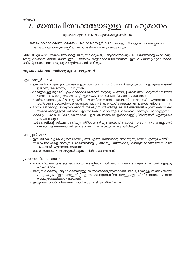### 7. മാതാപിതാക്കളോടുള്ള ബഹുമാനം

#### എഫേസ്യർ 6:1-4, സദൃശവാകൃങ്ങൾ 1:8

മനഃപാഠമാക്കേണ്ട വചനം: കൊലോസ്യർ 3:20 മക്കളേ, നിങ്ങളുടെ അമ്മയപ്പന്മാരെ സകലത്തിലും അനുസരിപ്പിൻ, അതു കർത്താവിനു പ്രസാദമല്ലോ.

പാഠസംഗ്രഹാ: മാതാപിതാക്കളെ അനുസരിക്കുകയും ആദരിക്കുകയും ചെയ്യേണ്ടതിന്റെ പ്രാധാന്യം മനസ്സിലാക്കാൻ വേണ്ടിയാണ് ഈ പാഠഭാഗം തയ്യാറാക്കിയിരിക്കുന്നത്. ഈ വചനങ്ങളിലൂടെ ദൈവ ത്തിന്റെ മനോഭാവം നമുക്കു മനസ്സിലാക്കാൻ കഴിയും.

#### ആത്മപരിശോധനയ്ക്കുള്ള ചോദൃങ്ങൾ:

#### എഫേസ്യർ 6:1–4

- ഈ കല്പനയുടെ പ്രാധാന്യം എത്രമാത്രമാണെന്നാണ് നിങ്ങൾ കരുതുന്നത്? എന്തുകൊണ്ടാണ് ഇതാണുശരിയെന്നു പറയുന്നത്?
- ഒരാളോടുള്ള ആദരവ് എപ്രകാരമൊക്കെയാണ് നമുക്കു പ്രദർശിപ്പിക്കാൻ സാധിക്കുന്നത്? നമ്മുടെ മാതാപിതാക്കളെ സംബന്ധിച്ച് ഇതെപ്രകാരം പ്രകടിപ്പിക്കാൻ സാധിക്കും?
- വാഗ്ദാനത്തോടുകൂടിയ ഒരു കല്പനയാണിതെന്നാണ് പൗലോസ് പറയുന്നത് എന്താണ് ഈ വാഗ്ദാനം? മാതാപിതാക്കളോടുള്ള ആദരവ് ഈ വാഗ്ദാനത്തെ എപ്രകാരം നിറവേറ്റുന്നു?
- മാതാപിതാക്കളെ അനുസരിക്കാതെ നടക്കുമ്പോൾ നിങ്ങളുടെ ജീവിതത്തിൽ എന്തൊക്കെയാണ് സംഭവിക്കാറുള്ളത്? നിങ്ങൾ എന്തൊക്കെ വികാരങ്ങളിലൂടെയാണ് കടന്നുപോകാറുള്ളത്?
- മക്കളെ പ്രകോപിപ്പിക്കരുതെന്നഭാഗം ഈ വചനത്തിൽ ഉൾക്കൊള്ളിച്ചിരിക്കുന്നത് എന്തുകൊ ണ്ടായിരിക്കും?
- കർത്താവിന്റെ ശിക്ഷണത്തിലും നിർദ്ദേശത്തിലും മാതാപിതാക്കൾ (വേറെ ആളുകളല്ലാതെ) മക്കളെ വളർത്തണമെന്ന് ഉപദേശിക്കുന്നത് എന്തുകൊണ്ടായിരിക്കും?

#### പുറപ്പാട് 21:17

- ഈ ശിക്ഷ വളരെ കൂടുതലായിപ്പോയി എന്നു നിങ്ങൾക്കു തോന്നുന്നുണ്ടോ? എന്തുകൊണ്ട്?
- മാതാപിതാക്കളെ അനുസരിക്കേണ്ടതിന്റെ പ്രാധാന്യം നിങ്ങൾക്കു മനസ്സിലാകുന്നുണ്ടോ? വിശ ദാംശങ്ങൾ എന്തൊക്കെയാണ്?
- മോശ ഇവിടെ മുന്നോട്ടുവയ്ക്കുന്ന നീതിസാരമെന്താണ്?

- മാതാപിതാക്കളോടുള്ള ആദരവുപ്രകടിപ്പിക്കാനായി ഒരു വഴികണ്ടെത്തുക കാർഡ് എഴുതു കയോ മറ്റോ.
- അനുസരിക്കാനും ആദരിക്കാനുമുള്ള തീരുമാനമെടുത്തുകൊണ്ട് അവരുമായുള്ള ബന്ധം ശക്തി പ്പെടുത്തുക. (ഈ വെല്ലുവിളി ഇന്നത്തേക്കുവേണ്ടിമാത്രമുള്ളതല്ല, ജീവിതാവസാനം വരെ കാത്തുസൂക്ഷിക്കാനുള്ളതാണ്)
- ഇതുവരെ പ്രാർത്ഥിക്കാത്ത ഒരാൾക്കുവേണ്ടി പ്രാർത്ഥിക്കുക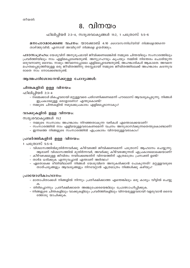### 8. വിനയം

### ഫിലിപ്പിയർ 2:3–4, സദൃശവാകൃങ്ങൾ 11:2, 1 പത്രോസ് 5:5–6

മനഃപാഠമാക്കേണ്ട വചനം: യാക്കോബ് 4:10 *ദൈവസനിധിയിൽ നിങ്ങളെത്തന്നെ* താഴ്ത്തുവിൻ; എന്നാൽ അവിടുന്ന് നിങ്ങളെ ഉയർത്തും.

**പാഠസംഗ്രഹാ:** യേശുവിന് അനുരൂപമായി ജീവിക്കണമെങ്കിൽ നമ്മുടെ ചിന്തയിലും സംസാരത്തിലും പ്രവർത്തിയിലും നാം എളിമപ്പെടേണ്ടതുണ്ട്. അനുഗ്രഹവും കൃപയും നമ്മിൽ നിരന്തരം ചൊരിയുന്ന ഒരുവനാണു ദൈവം. നാമും അവനെപ്പോലെ എളിമപ്പെടേണ്ടതുണ്ട്, അഹങ്കാരികൾ ആകാതെ. അവനെ മഹത്വപ്പെടുത്തിയുള്ള ഒരു ജീവിതത്തിനു തടസ്സമായി നമ്മുടെ ജീവിതത്തിലേക്ക് അഹങ്കാരം കടന്നുവ രാതെ നാം നോക്കേണ്ടതുണ്ട്.

#### ആത്മപരിശോധനയ്ക്കുള്ള ചോദൃങ്ങൾ:

#### ചിന്തകളിൽ ഉള്ള വിനയം:

ഫിലിപ്പിയർ 2:3-4

- നമ്മെക്കാൾ മികച്ചവരായി മറ്റുള്ളവരെ പരിഗണിക്കണമെന്ന് പൗലോസ് ആവശ്യപ്പെടുന്നു. നിങ്ങൾ ഇപ്രകാരമുള്ള ഒരാളാണോ? എന്തുകൊണ്ട്?
- നമ്മുടെ ചിന്തകളിൽ നമുക്കെപ്രകാരം എളിമപ്പെടാനാകും?

#### വാക്കുകളിൽ ഉള്ള വിനയം:

സദൃശവാകൃങ്ങൾ 11:2

- നമ്മുടെ സംസാരം അഹങ്കാരം നിറഞ്ഞതാകുന്ന വഴികൾ എന്തൊക്കെയാണ്?
- സംസാരത്തിൽ നാം എളിമയുള്ളവരാകണമെന്ന് വചനം അനുശാസിക്കുന്നതെന്തുകൊണ്ടാണ്?
- ഇന്നത്തെ നിങ്ങളുടെ സംസാരത്തിൽ എപ്രകാരം വിനയമുള്ളവരാകാം?

#### പ്രവർത്തികളിൽ ഉള്ള വിനയം:

1 പത്രോസ് 5:5-6

- വിശ്വാസത്തിൽമുതിർന്നവർക്കു കീഴ്വഴങ്ങി ജീവിക്കണമെന്ന് പത്രോസ് ആഹ്വാനം ചെയ്യുന്നു. ആരാണ് വിശ്വാസത്തിൽ മുതിർന്നവർ, അവർക്കു കീഴ്വഴങ്ങുന്നത് എപ്രകാരമൊക്കെയാണ്?
- കീഴ്വഴക്കമുള്ള ജീവിതം നയിക്കേണ്ടതിന് വിനയത്തിന് എത്രമാത്രം പ്രസക്തി ഉണ്ട്?
- താഴ്മ ധരിക്കുക എന്നുവച്ചാൽ എന്താണ് അർത്ഥം?
- ഏതൊക്കെ രീതിയിലാണ് നിങ്ങൾ യേശുവിനെ അനുകരിക്കാൻ പോകുന്നത്? മറ്റുള്ളവരുടെ താത്പര്യങ്ങളും ആവശ്യങ്ങളും നിറവേറ്റാൻ എത്രമാത്രം നിങ്ങൾക്കു കഴിയും?

- മാതാപിതാക്കൾ നിങ്ങളിൽ നിന്നും പ്രതീക്ഷിക്കാത്ത എന്തെങ്കിലും ഒരു കാര്യം വീട്ടിൽ ചെയ്യു
- തിരിച്ചൊന്നും പ്രതീക്ഷിക്കാതെ അഞ്ചുപേരെയെങ്കിലും പ്രോത്സാഹിപ്പിക്കുക.
- നിങ്ങളുടെ ചിന്തകളിലും വാക്കുകളിലും പ്രവർത്തികളിലും വിനയമുള്ളവരായി വളരുവാൻ ദൈവ ത്തോടു യാചിക്കുക.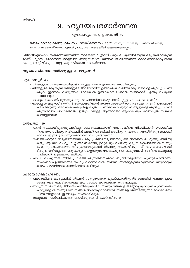### 9. ഹൃദയപരമാർത്ഥത

#### എഫേസ്യർ 4:25, ഉല്പത്തി 39

മനഃപാഠമാക്കേണ്ട വചനം: സങ്കീർത്തനം 25:21 *സതൃസന്ധതയും നീതിനിഷ്ഠയും* എന്നെ സംരക്ഷിക്കട്ടെ; എന്റെ പ്രത്യാശ അങ്ങയിൽ ആകുന്നുവല്ലോ.

**പാഠസംഗ്രഹം:** സത്യത്തിനുമുന്നിൽ യാതൊരു വിട്ടുവീഴ്ചയും ചെയ്യാതിരിക്കുന്ന ഒരു സ്വഭാവഗുണ മാണ് ഹൃദയപരമാർത്ഥത അല്ലങ്കിൽ സത്യസന്ധത. നിങ്ങൾ ജീവിക്കുന്നതു ദൈവത്തോടൊപ്പമാണ് എന്നു തെളിയിക്കുന്ന നല്ല ഒരു വഴിയാണ് പരമാർത്ഥത.

#### ആത്മപരിശോധനയ്ക്കുള്ള ചോദൃങ്ങൾ:

#### എഫേസ്യർ 4:25

- നിങ്ങളുടെ സത്യന്ധതയില്ലായ്മ മറ്റുള്ളവരെ എപ്രകാരം ബാധിക്കുന്നു?
- നിങ്ങളുടെ ഒരു നുണ നിങ്ങളുടെ ജീവിതത്തിൽ ഉണ്ടാക്കിയ വലിയകേടുപാടുകളെക്കുറിച്ചു ചിന്തി ക്കുക. ഇത്തരം കാര്യങ്ങൾ ഭാവിയിൽ ഉണ്ടാകാതിരിക്കാൻ നിങ്ങൾക്ക് എന്തു ചെയ്യാൻ സാധിക്കും?
- സത്യം സംസാരിക്കുന്നതും ഹൃദയ പരമാർത്ഥതയും തമ്മിലുള്ള ബന്ധം എന്താണ്?
- നാമെല്ലാം ഒരു ശരീരത്തിന്റെ ഭാഗമായതിനാൽ സത്യം സംസാരിക്കുന്നവരാകണമെന്ന് പൗലോസ് കല്പിക്കുന്നു. അവനവനെക്കുറിച്ചു മാത്രം ചിന്തിക്കാതെ മുഴുവൻ ആളുകളെക്കുറിച്ചും ചിന്തി ക്കുന്നതാണ് പരമാർത്ഥത. ഇതുപോലുള്ള ആത്മാർത്ഥ ആരെങ്കിലും കാണിച്ചത് നിങ്ങൾ കണ്ടിട്ടുണ്ടോ?

#### ഉൽപ്പത്തി 39

- തന്റെ സകലവീട്ടുകാര്യങ്ങളിലും മേലമ്പേഷകനായി ജോസഫിനെ നിയമിക്കാൻ പൊത്തിഫ റിനെ സഹായിക്കുന്ന വിധത്തിൽ അവൻ പരമാർത്ഥിയായിരുന്നു. എങ്ങനെയായിരിക്കും പൊത്തി ഫറിൽ ഇത്രമാത്രം സുരക്ഷിതബോധം ഉണ്ടായത്?
- പൊത്തിഫറുടെ ഭാര്യയിൽനിന്നും ഒരു പ്രലോഭനമുണ്ടായപ്പോൾ അതിനെ ചെറുത്തു നില്ക്കു കയും ആ സാഹചര്യം വിട്ട് അവൻ ഓടിപ്പോകുകയും ചെയ്തു. ഒരു സാഹചര്യത്തിൽ നിന്നും അകന്നുപോകണമെന്ന തീരുമാനമെടുക്കാൻ നിങ്ങളെ സഹായിക്കുന്നത് എന്തൊക്കെയായി രിക്കും? ശരിയല്ലാത്ത ഒരു കാര്യം ചെയ്യാനുള്ള സാഹചര്യം ഉണ്ടാകുമ്പോൾ അതിനെ ചെറുത്തു നില്ക്കാൻ എപ്രകാരം കഴിയും?
- പാപം ചെയ്യുന്നത് നീതി പ്രവർത്തിക്കുന്നതിനേക്കാൾ ബുദ്ധിമുട്ടേറിയത് എന്തുകൊണ്ടാണ്? സഹപാഠികളിൽനിന്നോ സഹപ്രവർത്തകരിൽ നിന്നോ സമ്മർദ്ദമുണ്ടാകുമ്പോൾ നമുക്കെപ്ര കാരം പരമാർത്ഥത കാണിക്കാൻ കഴിയും?

- എന്തെങ്കിലും കാര്യത്തിൽ നിങ്ങൾ സത്യസന്ധത പുലർത്താതിരുന്നിട്ടുണ്ടെങ്കിൽ വേണ്ടപ്പെട്ടവ രോടു ക്ഷമ ചോദിക്കാനുള്ള ഒരു സമയം ഇന്നുതന്നെ കണ്ടെത്തുക.
- സത്യസന്ധമായ ഒരു ജീവിതം നയിക്കുന്നതിൽ നിന്നും നിങ്ങളെ തടസ്സപ്പെടുത്തുന്ന എന്തൊക്കെ കാര്യങ്ങളിൽ നിന്നുമാണ് നിങ്ങൾ അകന്നുമാറേണ്ടത്? നിങ്ങളെ വഴിനടത്തുന്നവരോടോ മതാ പിതാക്കളോടോ ഇക്കാര്യം സംസാരിക്കുക.
- ഇതുവരെ പ്രാർത്ഥിക്കാത്ത ഒരാൾക്കുവേണ്ടി പ്രാർത്ഥിക്കുക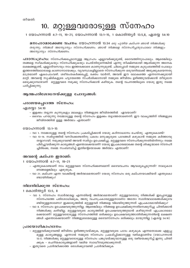### 10. മറ്റുള്ളവരോടുള്ള സ്നേഹം

1 യോഹന്നാൻ 4:7-11, 19-21, യോഹന്നാൻ 13:1-15, 1 കൊരിന്ത്യർ 13:5,8, ഏശയ്യ 54:10

മനഃപാഠമാക്കേണ്ട വചനം: യോഹന്നാൻ 13:34 ഒരു പുതിയ കല്പന ഞാൻ നിങ്ങൾക്കു തരുന്നു; നിങ്ങൾ അന്യോന്യം സ്നേഹിക്കണം. ഞാൻ നിങ്ങളെ സ്നേഹിച്ചതുപോലെ നിങ്ങളും അന്യോന്യം സ്നേഹിക്കണം.

പാഠസംഗ്രഹാ: സ്നേഹിക്കപ്പെടാനുള്ള ആഗ്രഹം എല്ലാവർക്കുമുണ്ട്, ദൈവത്തിനുപോലും. ആരെങ്കിലും തങ്ങളെ സ്വീകരിക്കുകയും സ്നേഹിക്കുകയും ചെയ്തിരുന്നെങ്കിൽ എന്നു തീക്ഷ്ണമായി ആശിക്കുന്ന അനേക ലക്ഷങ്ങളുണ്ട്, എല്ലാദിവസവും നാം ഇത്തരക്കാരെ കാണുന്നുമുണ്ട്. ചിലപ്പോൾ നമ്മുടെ കുടുംബത്തിൽ പോലും ഇത്തരത്തിലൊരാളെ കാണാനായേക്കും. വ്യവസ്ഥകളില്ലാതെ സ്നേഹിക്കുന്ന ഒരുവനിലേക്ക് അടുക്കുകയെന്നതു മാത്രമാണ് ഏകപോംവഴി. ശരീരംതകർക്കപ്പെട്ട്, രക്തം വാർന്ന്, അവൻ ഈ ലോകത്തെ എന്നന്നേക്കുമായി മാറ്റി. അവന്റെ സൃഷ്ടികളുടെ ഹൃദയത്തെ സ്പർശിക്കാനായി നമ്മുടെ ജീവിതം ഉഴിഞ്ഞുവയ്ക്കാൻ തീരുമാന മെടുക്കുമ്പോഴാണ് മറ്റുള്ളവരെ നമുക്കു സ്നേഹിക്കാൻ കഴിയുക. തന്റെ വചനത്തിലൂടെ യേശു ഇതു നമ്മെ പഠിപ്പിക്കുന്നു.

#### ആത്മപരിശോധനയ്ക്കുള്ള ചോദൃങ്ങൾ:

#### പരാജയപ്പെടാത്ത സ്നേഹം:

#### ഏശയ്യാ 54:10

- ഇളക്കം തട്ടുന്ന കുന്നുകളും മലകളും നിങ്ങളുടെ ജീവിതത്തിൽ ഏവയാണ്?
- ദൈവം പറയുന്നു നമ്മോടുള്ള തന്റെ സ്നേഹം ഇളക്കം തട്ടാത്തതാണെന്ന്. ഈ വാകൃത്തിന് നിങ്ങളുടെ ജീവിതത്തിൽ ഉള്ള അർത്ഥം എന്താണ്?

#### യോഹന്നാൻ 13:1–15

- വാ 1. നമ്മോടുള്ള തന്റെ സ്നേഹം പ്രകടിപ്പിക്കാൻ യേശു കഠിനാധ്വാനം ചെയ്തു. എന്തുകൊണ്ട്?
- വാ 13–14. സ്ഥർഗ്ഗത്തിൽ വസിക്കേണ്ടതിനു പകരം മനുഷ്യരുടെ പാദങ്ങൾ കഴുകാൻ നമ്മുടെ കർത്താവു തയ്യാറായി. നമുക്കുവേണ്ടി അവൻ സ്വർഗ്ഗം ഉപേക്ഷിച്ചു. മറ്റുള്ളവരെ സ്നേഹിക്കുന്നതിൽനിന്നും നമ്മെ പിടിച്ചുവയ്ക്കുന്ന കാര്യങ്ങൾ എന്തൊക്കെയാണ്? യേശു ഇപ്രകാരമൊക്കെ തന്റെ ശിഷ്യന്മാരെ സ്നേഹി ച്ചിരിക്കെ, നമ്മെ സംബന്ധിച്ച് ഇതിന്റെയൊക്കെ അർത്ഥം എന്താണ്?

#### അവന്റെ കല്പന ഇതാണ്:

#### 1 യോഹന്നാൻ 4:7-11, 19-21

- എന്തുകൊണ്ടാണ് നാം മറ്റുള്ളവരെ സ്നേഹിക്കണമെന്ന് ദൈവവചനം ആവശ്യപ്പെടുന്നത്? നാലുകാര ണങ്ങളെങ്കിലും എഴുതുക.
- വാ 21. കല്പന എന്ന വാക്കിന്റെ അർത്ഥമെന്താണ്? യേശു സ്നേഹം ഒരു കല്പനയാക്കിയത് എന്തുകൊ ണ്ടായിരിക്കും?

#### നിലനില്ക്കുന്ന സ്നേഹം:

#### 1 കൊരിന്ത്യർ 13:5, 8

- വാ 5. സ്നേഹം സ്വാർത്ഥമല്ല എന്നതിന്റെ അർത്ഥമെന്താണ്? മറ്റുള്ളവരോടു നിങ്ങൾക്ക് ഇപ്പോഴുള്ള സ്നേഹത്തെ പരിശോധിക്കുക, അതു വചനപ്രകാരമുള്ളതാണോ അതോ സ്വാർത്ഥലാഭങ്ങൾക്കുവേ ണ്ടിയുള്ളതാണോ? ഇക്കാര്യത്തിൽ മറ്റുള്ളവർ നിങ്ങളെ വിലയിരുത്തുന്നത് എപ്രകാരമായിരിക്കും?
- വാ 8. സ്നേഹം ഉപേക്ഷവരുത്തുന്നില്ല. ആരെങ്കിലും നിങ്ങളെ ഉപേക്ഷിക്കുന്നതിനെക്കുറിച്ചു ചിന്തിക്കാൻ നിങ്ങൾക്കു കഴിയില്ല. മറ്റുള്ളവരുടെ കാര്യത്തിൽ ഉപേക്ഷവരുത്തുവാൻ കഴിയുന്നത് എപ്രകാരമൊ ക്കെയാണ്? മറ്റുള്ളവരോടുള്ള സ്നേഹത്തിൽ ഒരിക്കലും ഉപേക്ഷവരുത്താതിരിക്കുന്നതിന്റെ ലക്ഷണ ങ്ങൾ എന്തൊക്കെയാണ്? നിങ്ങളുടെമേലുള്ള ദൈവസ്നേഹം ഒരിക്കലും മായുന്നില്ല (ഏശയ 54:10)

- മറ്റുള്ളവർക്കുവേണ്ടി ജീവിതം ഉഴിഞ്ഞുവയ്ക്കുക, മറ്റുള്ളവരുടെ പാദം കഴുകുക എന്നതൊക്കെ എളുപ്പ മുള്ള കാര്യങ്ങളല്ല. എന്നാൽ നമ്മുടെ സ്നേഹം പ്രകടിപ്പിക്കാനുള്ള വഴികളാണിവ (യോഹന്നാൻ 13:1). നിങ്ങൾക്കു മറ്റുള്ളവരോടുള്ള സ്നേഹം പങ്കുവയ്ക്കുവാനുള്ള ഒരു വഴിയെക്കുറിച്ച് ഇന്നു ചിന്തി ക്കുക - ചെറിയകാര്യങ്ങളാണ് വലിയ സ്വാധീനമുണ്ടാക്കുന്നത്.
- ഇതുവരെ പ്രാർത്ഥിക്കാത്ത ഒരാൾക്കുവേണ്ടി പ്രാർത്ഥിക്കുക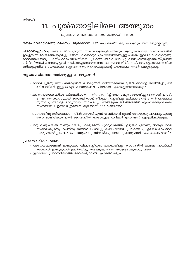### 11. പുൽതൊട്ടിലിലെ അത്ഭുതം

ലൂക്കോസ് 1:26-38, 2:1-20, മത്തായി 1:18-25

#### മനഃപാഠമാക്കേണ്ട വചനം: ലൂക്കോസ് 1:37 ദൈവത്തിന് ഒരു കാര്യവും അസാദ്ധ്യമല്ലല്ലോ.

പാഠസംഗ്രഹം: തങ്ങൾ ജീവിച്ചിരുന്ന സാഹചര്യങ്ങളിൽനിന്നും വ്യത്യസ്തമായി വിശ്വാസത്തിൽ ഉറച്ചുനിന്ന മറിയത്തെക്കുറിച്ചും ജോസഫിനെക്കുറിച്ചും ദൈവത്തിനുള്ള പദ്ധതി ഇവിടെ വിവരിക്കുന്നു. ദൈവത്തിനോടും പരസ്പരവും വിശ്വസ്തത പുലർത്തി അവർ ജീവിച്ചു. വിവാഹിതയല്ലാത്ത സ്ത്രീയെ ഗർഭിണിയായി കാണപ്പെട്ടാൽ വധിക്കപ്പെടണമെന്നാണ് അന്നത്തെ രീതി. വധിക്കപ്പെട്ടേ്ക്കാമെന്ന ഭീഷ ണിക്കുമുമ്പിലും ലോകത്തെ മാറ്റംവരുത്തുന്ന ദൈവപുത്രന്റെ ജനനത്തെ അവർ ഏറ്റെടുത്തു.

#### ആത്മപരിശോധനയ്ക്കുള്ള ചോദൃങ്ങൾ:

- ദൈവപുത്രനു ജന്മം നല്കുവാൻ പോകുന്നത് മറിയമാണെന്ന് ദൂതൻ അവളെ അറിയിച്ചപ്പോൾ മറിയത്തിന്റെ ഉള്ളിൽകൂടി കടന്നുപോയ ചിന്തകൾ എന്തെല്ലാമായിരിക്കും?
- കളങ്കപ്പെടാതെ മറിയം ഗർഭവതിയാകുന്നതിനെക്കുറിച്ച് ജോസഫും സംശയിച്ചു (മത്തായി 1:9–20). മറിയത്തെ രഹസ്യമായി ഉപേക്ഷിക്കാൻ തീരുമാനിച്ചെങ്കിലും കർത്താവിന്റെ ദൂതൻ പറഞ്ഞത നുസരിച്ച് അവളെ ഭാര്യയായി സ്ഥീകരിച്ചു. നിങ്ങളുടെ ജീവിതത്തിൽ എന്തെങ്കിലുമൊക്കെ സംശയങ്ങൾ ഉണ്ടായിട്ടുണ്ടോ? ലൂക്കോസ് 1:37 വായിക്കുക.
- ദൈവത്തിനു മറിയത്തോടു പ്രീതി തോന്നി എന്ന് ഗബ്രിയേൽ ദുതൻ അവളോടു പറഞ്ഞു. എന്തു കൊണ്ടായിരിക്കും ഇത്? ദൈവപ്രീതി നേടാനുള്ള വഴികൾ ഏവയെന്ന് എഴുതിവയ്ക്കുക.
- ഒരു കന്യകയിൽ നിന്നും യേശുപിറക്കുമെന്ന് പൂർവ്വകാലത്ത് എഴുതിവച്ചിരുന്നു, അതുപോലെ സംഭവിക്കുകയും ചെയ്തു. നിങ്ങൾ ചോദിച്ചപ്രകാരം ദൈവം പ്രവർത്തിച്ച ഏതെങ്കിലും അവ സരമുണ്ടായിട്ടുണ്ടോ? അസാധ്യമെന്നു നിങ്ങൾക്കു തോന്നു കാര്യങ്ങൾ എന്തൊക്കെയാണ്?

- അസാധ്യമാണെന്ന് ഇന്നുവരെ വിചാരിച്ചിരുന്ന എന്തെങ്കിലും കാര്യത്തിൽ ദൈവം പ്രവർത്തി ക്കാനായി ഇന്നുമുതൽ പ്രാർത്ഥിച്ചു തുടങ്ങുക, അതു സാദ്ധ്യമാകുന്നതു വരെ.
- ഇതുവരെ പ്രാർത്ഥിക്കാത്ത ഒരാൾക്കുവേണ്ടി പ്രാർത്ഥിക്കുക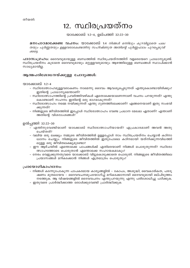### 12. സ്ഥിരപ്രയത്നം

യാക്കോബ് 1:2-4, ഉല്പത്തി 32:22-30

മനഃപാഠമാക്കേണ്ട വചനം: യാക്കോബ് 1:4 *നിങ്ങൾ ഒന്നിലും കുറവില്ലാതെ പക്വ* തയും പൂർണ്ണതയും ഉള്ളവരാകേണ്ടതിനു സഹിഷ്ണുത അതിന്റെ പൂർണ്ണഫലം പുറപ്പെടുവി ക്കട്ടെ.

പാഠസംഗ്രഹം: ദൈവവുമായുള്ള ബന്ധത്തിൽ സ്ഥിരപ്രയത്നത്തിന് വളരെയേറെ പ്രാധാന്യമുണ്ട്. സ്ഥിരപ്രയത്നം കൂടാതെ ദൈവവുമായും മറ്റുള്ളവരുമായും ആഴത്തിലുള്ള ബന്ധങ്ങൾ സ്ഥാപിക്കാൻ സാധ്യമാവില്ല.

#### ആത്മപരിശോധനയ്ക്കുള്ള ചോദ്യങ്ങൾ:

യാക്കോബ് 1:2-4

- സ്ഥിരോത്സാഹമുള്ളവരാകണം നാമെന്നു ദൈവം ആവശ്യപ്പെടുന്നത് എന്തുകൊണ്ടായിരിക്കും? ഇതിന്റെ പ്രാധാന്യമെന്താണ്?
- സ്ഥിരോത്സാഹത്തിന്റെ പ്രവർത്തിവഴികൾ ഏതൊക്കെയാണെന്നാണ് വചനം പറയുന്നത്? എന്തു കൊണ്ടാണ് സഹനം ഇതിന്റെ ഒരു ഭാഗമാകുന്നത്?
- സ്ഥിരോത്സാഹം നമ്മെ നയിക്കുന്നത് എന്തു ഗുണത്തിലേക്കാണ്? എങ്ങനെയാണ് ഇതു സംഭവി ക്കുന്നത്?
- നിങ്ങളുടെ ജീവിതത്തിൽ ഇപ്പോൾ സ്ഥിരോത്സാഹം വേണ്ട പ്രധാന മേഖല ഏതാണ്? എന്താണ് അതിന്റെ വിശദാംശങ്ങൾ?

ഉൽപ്പത്തി 32:22-30

- എന്തിനുവേണ്ടിയാണ് യാക്കോബ് സ്ഥിരോത്സാഹിയായത്? എപ്രകാരമാണ് അവൻ അതു ചെയ്തത്?
- വലിയ ഒരു ലക്ഷ്യം നമ്മുടെ ജീവിതത്തിൽ ഉള്ളപ്പോൾ നാം സ്ഥിരപ്രയത്നം ചെയ്യാൻ കഠിനാ ധ്വാനം ചെയ്യും. നിങ്ങളുടെ ജീവിതത്തിൽ ഇതുപോലെ കഠിനമായി യത്നിക്കുന്നവിധത്തി ലുള്ള ഒരു ജീവിതലക്ഷ്യമുണ്ടോ?
- ഈ ആഴ്ചയിൽ എന്തൊക്കെ പാപങ്ങൾക്ക് എതിരെയാണ് നിങ്ങൾ പൊരുതുന്നത്? സ്ഥിരോ ്ത്സാഹത്തോടെ പൊരുതാൻ എന്തൊക്കെ സഹായകമാകും?
- നേരം വെളുക്കുന്നതുവരെ യാക്കോബ് വിട്ടുകൊടുക്കാതെ പൊരുതി. നിങ്ങളുടെ ജീവിതത്തിലെ പ്രയാസങ്ങൾ മറികടക്കാൻ നിങ്ങൾ എത്രമാത്രം പൊരുതും?

- നിങ്ങൾ കടന്നുപോകുന്ന പാപകരമായ കാര്യങ്ങളിൽ കോപം, അശുദ്ധി, വൈകാരികത, പരദൂ ഷണം മുതലായവ – ദൈവവചനമുപയോഗിച്ച് മറികടക്കാനായി ദൈവവുമായി മല്പിടുത്തം നടത്തുക. ആ വിഷയങ്ങളിൽ ദൈവവചനം എന്തുപറയുന്നു എന്നു പരിശോധിച്ചു പഠിക്കുക.
- ഇതുവരെ പ്രാർത്ഥിക്കാത്ത ഒരാൾക്കുവേണ്ടി പ്രാർത്ഥിക്കുക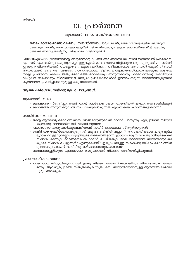### 13. പ്രാർത്ഥന

#### ലൂക്കോസ് 11:1-2, സങ്കീർത്തനം 63:1-8

മനഃപാഠമാക്കേണ്ട വചനം: സങ്കീർത്തനം 100:4 അവിടുത്തെ വാതിലുകളിൽ സ്തോത്ര ത്തോടും അവിടുത്തെ പ്രാകാരങ്ങളിൽ സ്തുതികളോടും കൂടെ പ്രവേശിക്കുവിൻ; അവിടു ത്തേക്ക് സ്തോത്രമർപ്പിച്ച് തിരുനാമം വാഴ്ത്തുവിൻ.

പാഠസംഗ്രഹാ: ദൈവത്തിന്റെ അടുത്തേക്കു പോയി അവനുമായി സംസാരിക്കുന്നതാണ് പ്രാർത്ഥന. എന്നാൽ എന്തെങ്കിലും ഒരു ആവശ്യം ഉള്ളപ്പോൾ മാത്രം നമ്മെ വിളിക്കുന്ന ഒരു സുഹൃത്തിനെ ഓർമ്മി പ്പുക്കുന്ന വിധത്തിലാണ് പലപ്പോഴും നമ്മുടെ പ്രാർത്ഥന. പരീക്ഷസമയം വരുമ്പോൾ നമുക്ക് നിരവധി ആവശ്യങ്ങൾ വരും ആ സമയത്തു നാം ദൈവത്തെ വിളിക്കും. ആവശ്യങ്ങൾമാത്രം പറയുന്ന ഒരു സമ യമല്ല പ്രാർത്ഥന, പകരം അതു ദൈവത്തെ ഓർക്കാനും സ്തുതിക്കാനും ദൈവത്തിന്റെ ശക്തിയുടെ വിപുലത ഓർക്കാനും നിരവധിയായ നമ്മുടെ പ്രാർത്ഥനകൾക്ക് ഉത്തരം തരുന്ന ദൈവത്തിനുമുന്നിൽ കൃതജ്ഞത പ്രകടിപ്പിക്കാനുമുള്ള ഒരു സമയമാണ്.

#### ആത്മപരിശോധനയ്ക്കുള്ള ചോദൃങ്ങൾ:

ലൂക്കോസ് 11:1–2

- ദൈവത്തെ സ്തുതിച്ചുകൊണ്ട് തന്റെ പ്രാർത്ഥന യേശു തുടങ്ങിയത് എന്തുകൊണ്ടായിരിക്കും?
- ദൈവത്തെ സ്തുതിക്കുവാൻ നാം മറന്നുപോകുന്നത് എന്തൊക്കെ കാരണങ്ങളാലാണ്?

#### സങ്കീർത്തനം 63:1–8

- തന്റെ ആത്മാവു ദൈവത്തിനായി വാഞ്ചിക്കുന്നുവെന്ന് ദാവീദ് പറയുന്നു. എപ്പോഴാണ് നമ്മുടെ ആത്മാവു ദൈവത്തിനായി വാഞ്ചിക്കുന്നത്?
- എന്തൊക്കെ കാര്യങ്ങൾക്കുവേണ്ടിയാണ് ദാവീദ് ദൈവത്തെ സ്തുതിക്കുന്നത്?
- ദാവീദ് ഈ സങ്കീർത്തനമെഴുതുന്നത് ഒരു മരുഭൂമിയിൽ വച്ചാണ്. അസഹനീയമായ ചൂടും ദുർല ഭ്യമായ വെള്ളവുമെല്ലാം മരുഭൂമിയുടെ ലക്ഷണങ്ങളാണ്. ഇത്തരം ഒരു സാഹചര്യത്തിലൂടെയാണ് നിങ്ങൾ കടന്നുപോകുന്നതെങ്കിൽ ദാവീദ് ചെയ്തതുപോലെ ദൈവത്തെ സ്തുതിക്കുകയാ കുമോ നിങ്ങൾ ചെയ്യുന്നത്? എന്തുകൊണ്ട്? ഇതുപോലുള്ള സാഹചര്യത്തിലും ദൈവത്തിന ടുത്തേക്കുപോകാൻ ദാവീദിനു കഴിഞ്ഞതെന്തുകൊണ്ടാണ്?
- ദൈവത്തെപ്പറ്റിയുള്ള എന്തൊക്കെ കാര്യങ്ങളാണ് നിങ്ങളെ അതിശയിപ്പിക്കുന്നത്?

#### പ്രായോഗികാഹ്വാനം:

– ദൈവത്തെ സ്തുതിക്കുവാനായി ഇന്നു നിങ്ങൾ അരമണിക്കുറെങ്കിലും ചിലവഴിക്കുക. വേറെ ഒന്നും ആവശ്യപ്പെടേണ്ട, സ്തുതിക്കുക മാത്രം മതി. സ്തുതിക്കുവാനുള്ള ആശയങ്ങൾക്കായി ചുറ്റും നോക്കുക.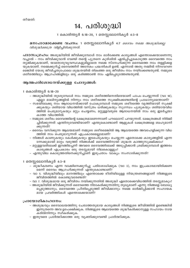### 14. പരിശുദ്ധി

1 കൊരിന്ത്യർ 6:18–20, 1 തെസ്സലോനികൃർ 4:3–8

മനഃപാഠമാക്കേണ്ട വചനം: 1 തെസ്സലോനികൃർ 4:7 *ദൈവം നമ്മെ അശുദ്ധിക്കല്ല* വിശുദ്ധിക്കത്രേ വിളിച്ചിരിക്കുന്നത്.

 $\Delta$ 100 $\mathsf{W}$ o $\mathsf{L}$ 0ഹo: അശുദ്ധിയിൽ ജീവിക്കുമ്പോൾ നാം ഓർക്കേണ്ട കാര്യങ്ങൾ എന്തൊക്കെയാണെന്നു വച്ചാൽ – നാം ജീവിക്കുവാൻ വേണ്ടി തന്റെ പുത്രനെ കുരിശിൽ ഏൽപ്പിച്ചുകൊടുത്ത ദൈവത്തെ നാം തൃജിക്കുകയാണ്, യാതൊരുവ്യവസ്ഥകളുമില്ലാതെ നമ്മെ സ്നേഹിക്കുന്ന ദൈവത്തെ നാം തള്ളിക്കള യുകയാണ്. നമ്മെക്കുറിച്ച് ദൈവത്തിന് അനേകം പദ്ധതികൾ ഉണ്ട്. എന്നാൽ അതു നമ്മിൽ നിറവേറണ മെങ്കിൽ യേശു ജീവിച്ചതുപോലെ ശുദ്ധതയിൽ തികഞ്ഞ ഒരു ജീവിതം നാം നയിക്കേണ്ടതുണ്ട്. നമ്മുടെ ശരീരത്തിലും ആഗ്രഹങ്ങളിലും ഒരു കടിഞ്ഞാൺ നാം ഏർപ്പെടുത്തേണ്ടതുണ്ട്.

#### ആത്മപരിശോധനയ്ക്കുള്ള ചോദൃങ്ങൾ:

1 കൊരിന്ത്യർ 6:18–20

- അശുദ്ധിയിൽ തുടരുമ്പോൾ നാം നമ്മുടെ ശരീരത്തിനെതിരെയാണ് പാപം ചെയ്യുന്നത് (വാ 18), എല്ലാ മാലിന്യങ്ങളിൽ നിന്നും നാം ശരീരത്തെ സുക്ഷിക്കേണ്ടതിന്റെ പ്രാധാന്യമെന്താണ്?
- സഭയി്ലേക്കു നാം ആരാധനയ്ക്കായി പോകുമ്പോൾ നമ്മുടെ ശരീരത്തെ വൃത്തിയായി സുക്ഷി ക്കുകയും ശരിയായ വിധത്തിൽ വസ്ത്രം ധരിക്കുകയും സുഗന്ധം പൂശുകയും ശരിയായവിധ ത്തിൽ പെരുമാറുകയും മറ്റും ചെയ്യണം, മറ്റുള്ളവരുടെ ആരാധനയിൽ നാം ഒരു ഇടർച്ചയാ കാത്ത വിധത്തിൽ.
- നമ്മുടെ ശരീരം ദൈവത്തിന്റെ ക്ഷേത്രമാണെന്നാണ് പൗലോസ് പറയുന്നത്. ക്ഷേത്രങ്ങൾ നിർമ്മി ച്ചിരിക്കുന്നത് എന്തിനുവേണ്ടിയാണ്? എന്തുകൊണ്ടാണ് ആളുകൾ ക്ഷേത്രങ്ങളെ ബഹുമാനി ക്കുന്നത്?
- ദൈവം വസിക്കുന്ന ആലയമാണ് നമ്മുടെ ശരീരമെങ്കിൽ ആ ആലയത്തെ അവഹേളിക്കുന്ന വിധ ത്തിൽ നാം പെരുമാറുന്നത് എപ്രകാരമെല്ലാമാണ്?
- നിങ്ങൾ കാണുകയും കേൾക്കുകയും ഇടപെടുകയും ചെയ്യുന്ന ഏതൊക്കെ കാര്യങ്ങളിൽ എന്ന ന്നേക്കുമായി മാറ്റം വരുത്തി നിങ്ങൾക്ക് ദൈവത്തിനായി ശുദ്ധത കാത്തുസുക്ഷിക്കാം?
- മറ്റുള്ളവരിലേക്ക് ഇറങ്ങിച്ചെന്ന് അവരെ ദൈവത്തിലേക്ക് അടുപ്പിക്കാൻ ശ്രമിക്കുമ്പോൾ ഇത്തരം കാര്യങ്ങൾ എപ്രകാരം ഒരു തടസ്സമായി നിലകൊള്ളും?
- എന്തുവില കൊടുത്തതിനെക്കുറിച്ചാണ് ഇരുപതാം വാക്യം സംസാരിക്കുന്നത്?

1 തെസ്സലോനികൃർ 4:3-8

- ശുദ്ധീകരണം എന്ന വാക്കിനെക്കുറിച്ചു പരിശോധിക്കുക (വാ 3), നാം ഇപ്രകാരമായിരിക്കണ മെന്ന് ദൈവം ആഗ്രഹിക്കുന്നത് എന്തുകൊണ്ടാണ്?
- വാ 5. വിശുദ്ധിയിലും മാനത്തിലും എന്തൊക്കെ രീതിയിലുള്ള നിയന്ത്രണങ്ങളാണ് നിങ്ങളുടെ ജീവിതത്തിൽ കൊണ്ടുവരേണ്ടത്?
- വാ 7. വിശുദ്ധമായ ഒരു ജീവിതം നയിക്കുന്നതിൽ അശുദ്ധി ഏതൊക്കെവിധത്തിൽ തടസ്സമാകും?
- അശുദ്ധിയിൽ ജീവിക്കുന്നത് ദൈവത്തെ നിരാകരിക്കുന്നതിനു തുല്യമാണ് എന്നു നിങ്ങളെ ബോധ്യ പ്പെടുത്താനും, ദൈവത്തെ പ്രീതിപ്പെടുത്തി ജീവിക്കാനും നമ്മെ ഓർമ്മിപ്പിക്കാൻ സഹായക മായ പ്രവർത്തികൾ എന്തൊക്കെയാണ്?

- അശുദ്ധവും ദൈവാലയത്തിനു ചേരാത്തതുമായ കാര്യങ്ങൾ നിങ്ങളുടെ ജീവിത്തിൽ ഉണ്ടെങ്കിൽ ഇന്നുതന്നെ അവ ഉപേക്ഷിക്കുക. നിങ്ങളുടെ ആലയത്തെ ശുദ്ധീകരിക്കാനുള്ള സഹായം നായ കരിൽനിന്നും സ്വീകരിക്കുക.
- ഇതുവരെ പ്രാർത്ഥിക്കാത്ത ഒരു വ്യക്തിക്കുവേണ്ടി പ്രാർത്ഥിക്കുക.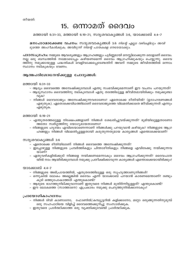### 15. ഒന്നാമത് ദൈവം

മത്തായി 6:31–33, മത്തായി 6:19–21, സദൃശവാകൃങ്ങൾ 3:6, യാക്കോബ് 4:4–7

മനഃപാഠമാക്കേണ്ട വചനം: സദൃശവാകൃങ്ങൾ 3:6 *നിന്റെ എല്ലാ വഴികളിലും അവി* ടുത്തെ അംഗീകരിക്കുക; അവിടുന്ന് നിന്റെ പാതകളെ നേരേയാക്കും.

പാഠസംഗ്രഹാ: നമ്മുടെ ആവശ്യങ്ങളും ആഗ്രഹങ്ങളും പൂർണ്ണമായി മനസ്സിലാക്കുന്ന ഒരാളാണ് ദൈവം. നല്ല ഒരു ബന്ധത്തിൽ നമ്മോടൊപ്പം കഴിയണമെന്ന് ദൈവം ആഗ്രഹി്ക്കുകയും ചെയ്യുന്നു. ദൈവ ത്തിനു നമുക്കായുള്ള പദ്ധതികൾ വെളിവാക്കപ്പെടേണ്ടതിന് അവന് നമ്മുടെ ജീവിതത്തിൽ ഒന്നാം സ്ഥാനം നല്കുകയും വേണം.

#### ആത്മപരിശോധനയ്ക്കുള്ള ചോദൃങ്ങൾ:

മത്തായി 6:31–33

- ആദ്യം ദൈവത്തെ അമ്പേഷിക്കുമ്പോൾ എന്തു സംഭവിക്കുമെന്നാണ് ഈ വചനം പറയുന്നത്?
- ആദൃസ്ഥാനം ദൈവത്തിനു നല്കുമ്പോൾ ഏതു തരത്തിലുള്ള ജീവിതമായിരിക്കും നമുക്കുണ്ടാ വുക?
- നിങ്ങൾ ദൈവരാജ്യം അന്വേഷിക്കുന്നവരാണോ? ഏതൊക്കെ രീതിയിൽ? (ഉദാഹരണങ്ങൾ എഴുതുക). ഏതൊക്കെവിധത്തിലാണ് ദൈവരാജ്യത്തെ വിലമതിക്കാതെ ജീവിക്കുന്നത് എന്നും എഴുതുക.

#### മത്തായി 6:19-21

- എന്തുതരത്തലുള്ള നിക്ഷേപങ്ങളാണ് നിങ്ങൾ ശേഖരിച്ചുവയ്ക്കുന്നത്? ഭൂമിയിലുള്ളതാണോ അതോ സ്വർഗ്ഗത്തിനു യോഗ്യമായതാണോ?
- നിങ്ങളുടെ ഹൃദയം എവിടെയാണെന്നാണ് നിങ്ങൾക്കു പറയുവാൻ കഴിയുക? നിങ്ങളുടെ ആഗ്ര ഹങ്ങളും നിങ്ങൾ വിലമതിപ്പുള്ളതായി കരുതുന്നതുമായ കാര്യങ്ങൾ എന്തൊക്കെയാണ്?

#### സദൃശവാകൃങ്ങൾ 3:6

- ഏതൊക്കെ രീതിയിലാണ് നിങ്ങൾ ദൈവത്തെ അമ്പേഷിക്കുന്നത്?
- ഇപ്പോഴുള്ള നിങ്ങളുടെ പ്രവർത്തികളും ചിന്താരീതികളും നിങ്ങളെ എവിടേക്കു നയിക്കുന്നവ യാണ്?
- ഏതുവഴികളിൽക്കുടി നിങ്ങളെ നയിക്കണമെന്നാകും ദൈവം ആഗ്രഹിക്കുന്നത്? ദൈവപാത യിൽ നാം ആയിരിക്കുമ്പോൾ നമുക്കു പ്രതീക്ഷിക്കാവുന്ന കാര്യങ്ങൾ എന്തൊക്കെയായിരിക്കും?

#### യാക്കോബ് 4:4–7

- നിങ്ങളുടെ അഭിപ്രായത്തിൽ, ഏതുതരത്തിലുള്ള ഒരു സൃഹൃത്താണുനിങ്ങൾ?
- ഒന്നുകിൽ ലോകം അല്ലെങ്കിൽ ദൈവം എന്ന് യാക്കോബ് പറയാൻ കാരണമെന്താണ്? രണ്ടും കൂടി ഒത്തുപോകാത്തത് എന്തുകൊണ്ട്?
- ആരുടെ ഭാഗത്തുനില്ക്കുവാനാണ് ഇതുവരെ നിങ്ങൾ മുതിർന്നിട്ടുള്ളത്? എന്തുകൊണ്ട്?
- ഈ ലോകത്തെ (സാത്താനെ) എപ്രകാരം നമുക്കു ചെറുത്തുനിൽക്കാനാകും?

- നിങ്ങൾ ടിവി കാണാനോ, ഫോണിൽ/കമ്പ്യൂട്ടറിൽ കളിക്കാനോ, മറ്റോ ഒരുങ്ങുന്നതിനുമുമ്പ് ഒരു സഹപാഠിയെ വിളിച്ച് ദൈവത്തെക്കുറിച്ചു സംസാരിക്കുക.
- ഇതുവരെ പ്രാർത്ഥിക്കാത്ത ഒരു വ്യക്തിക്കുവേണ്ടി പ്രാർത്ഥിക്കുക.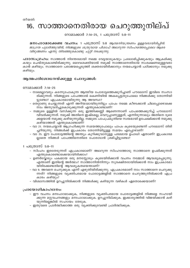### 16. സാത്താനെതിരായ ചെറുത്തുനില്പ്

#### റോമാക്കാർ 7:14-25, 1 പത്രോസ് 5:8-11

മനഃപാഠമാക്കേണ്ട വചനം: 1 പത്രോസ് 5:8 *ആത്മനിയന്ത്രണം ഉള്ളവരായിരിപ്പിൻ.* ജാഗ്രത പുലർത്തുവിൻ, നിങ്ങളുടെ ശത്രുവായ പിശാച് അലറുന്ന സിംഹത്തെപ്പോലെ ആരെ വിഴുങ്ങണം എന്നു തിരഞ്ഞുകൊണ്ടു ചുറ്റി നടക്കുന്നു.

പാഠസംഗ്രഹം: സാത്താൻ നിരന്തരമായി നമ്മെ വേട്ടയാടുകയും പ്രലോഭിപ്പിക്കുകയും ആക്രമിക്കു കയും ചെയ്തുകൊണ്ടിരിക്കുന്നു. ദൈവശക്തിയാൽ നമുക്ക് സാത്താനെതിരായ സംരക്ഷണമുള്ളവരാ കാൻ കഴിയും. സാത്താനെ പരാജയപ്പെടുത്തി ശക്തരായിരിക്കാനും നന്മചെയ്യാൻ പഠിക്കാനും നമുക്കു കഴിയും.

#### ആത്മപരിശോധനയ്ക്കുള്ള ചോദൃങ്ങൾ:

റോമാക്കാർ 7:14–25

- നാമെല്ലാവരും കടന്നുപോകുന്ന ആത്മീയ പോരാട്ടത്തെക്കുറിച്ചാണ് പൗലോസ് ഇവിടെ സംസാ രിക്കുന്നത്. നിങ്ങളുടെ പാപത്താൽ കെണിയിൽ അകപ്പെട്ടതുപോലെ നിങ്ങൾക്കു തോന്നിയി ട്ടുണ്ടോ? എപ്രകാരമായിരുന്നു ആ അവസ്ഥ?
- തെറ്റാണു ചെയ്യുന്നത് എന്ന് അറിയാമായിരുന്നിട്ടും പാപം നമ്മെ കീഴടക്കാൻ ചിലപ്പോഴൊക്കെ നാം അനുവദിച്ചുകൊടുക്കുന്നത് എന്തുകൊണ്ടാണ്?
- നമ്മുടെ ഉള്ളിൽ വസിക്കുന്ന ഒരു ഇത്തിക്കണ്ണി ആണെന്നാണ് പാപത്തെക്കുറിച്ച് പൗലോസ് വിവരിക്കുന്നത്. നമുക്ക് അതിനെ ഇഷ്ടമല്ല, വെറുപ്പാണുള്ളത്, എന്നിരുന്നാലും അതിനെ ദൂരെ ക്കളയാൻ നമുക്കു കഴിയുന്നുമില്ല. നമ്മുടെ പാപപ്രകൃതിയെ സ്വയമായി ഉപേക്ഷിക്കാൻ നമുക്കു കഴിയാത്തത് എന്തുകൊണ്ടാണ്?
- വാ 21. നന്മചെയ്യാൻ ആഗ്രഹിക്കുന്ന സമയത്തുപോലും പാപം കൂടെയുണ്ടെന്ന് പൗലോസ് തിരി ച്ചറിയുന്നു. നിങ്ങൾക്ക് ഇപ്രകാരം തോന്നിയിട്ടുള്ള സമയം എപ്പോഴാണ്?
- വാ 25. ഈ പോരാട്ടത്തിന്റെ അന്ത്യം കുറിക്കുവാനുള്ള പരമമായ ഉപാധി ഏതാണ്? ഇപ്രകാരമ ലാതെ നിങ്ങൾ പാപത്തിനെതിരെ പോരാടാൻ ശ്രമിച്ചിട്ടുണ്ടോ?
- 1 പത്രോസ് 5:8–11
	- സിംഹം ഇരതേടുന്നത് എപ്രകാരമാണ്? അലറുന്ന സിംഹത്തോടു സാത്താനെ ഉപമിക്കുന്നത് എന്തുകൊണ്ടൊക്കെയായിരിക്കാം?
	- ഉണർവ്വോടും പക്വമായ ഒരു മനസ്സോടും കൂടെയിരിക്കാൻ വചനം നമ്മോട് ആവശ്യപ്പെടുന്നു. എന്താണ് ഇതിന്റെ അർത്ഥം? സാത്താനിൽനിന്നും സുരക്ഷിതരായിരിക്കാൻ നാം ഇപ്രകാരമാ യിരിക്കേണ്ടതിന്റെ ആവശ്യകതയെന്താണ്?
	- വാ 9. അവനെ ചെറുക്കുക എന്ന് എഴുതിയിരിക്കുന്നു. എപ്രകാരമാണ് നാം സാത്താനെ ചെറുക്കു ന്നത്? നിങ്ങളുടെ വ്യക്തിപരമായ പോരാട്ടങ്ങളിൽ സാത്താനെ ചെറുത്തുനിൽക്കാൻ എപ്ര കാരം കഴിയും?
	- വിശ്വാസത്തിൽ ഉറച്ചുനിൽക്കാൻ നിങ്ങൾക്കു കഴിയുന്ന വഴികൾ ഏതൊക്കെയാണ്?

- ഈ വചനം മനഃപാഠമാക്കുക, നിങ്ങളുടെ വൃക്തിപരമായ പോരാട്ടങ്ങളിൽ നിങ്ങളെ സഹായി ക്കുന്ന മറ്റുവചനങ്ങളും മനഃപാഠമാക്കുക. ഉറച്ചുനില്ക്കുക. ഇക്കാര്യത്തിൽ വിജയിക്കാൻ കഴി യുന്നില്ലെങ്കിൽ സഹായം തേടുക.
- ഇതുവരെ പ്രാർത്ഥിക്കാത്ത ഒരു വ്യക്തിക്കുവേണ്ടി പ്രാർത്ഥിക്കുക.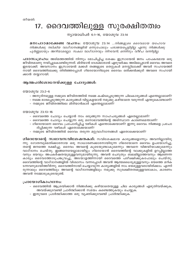### 17. ദൈവത്തിലുള്ള സുരക്ഷിതത്വം

ന്യായാധിപർ 6:1-16, യോശുവ 23:14

മനഃപാഠമാക്കേണ്ട വചനം: യോശുവ 23:14 ...നിങ്ങളുടെ ദൈവമായ യഹോവ നിങ്ങൾക്കു നല്കിയ വാഗ്ദാനങ്ങളിൽ ഒന്നുപോലും പരാജയപ്പെട്ടിട്ടില്ല എന്നു നിങ്ങൾക്കു പൂർണ്ണമായും അറിയാമല്ലോ. സകല വാഗ്ദാനവും നിറവേറി; ഒന്നിനും വീഴ്ച വന്നിട്ടില്ല.

പാഠസംഗ്രഹം: അടിമത്തത്തിൽ നിന്നും മോചിപ്പിച്ച ശേഷം ഇസ്രായേൽ ജനം പാപകരമായ ഒരു ജീവിതമാണു നയിച്ചുകൊണ്ടിരുന്നത്. മിദിയാൻ ദേശക്കാരാൽ ഏഴുവർഷം അടിമപ്പെടാൻ ദൈവം അവരെ ഇടയാക്കി. അവസാനം ഇസ്രായേൽ മക്കൾ തങ്ങളുടെ തെറ്റുകൾ മനസ്സിലാക്കി അവർ സഹായത്തി നായി ദൈവത്തിലേക്കു തിരിഞ്ഞപ്പോൾ ഗിദെയോനിലൂടെ ദൈവം ഒരിക്കൽക്കൂടി അവരെ സഹായി ക്കാൻ തയ്യാറായി.

#### ആത്മപരിശോധനയ്ക്കുള്ള ചോദ്യങ്ങൾ:

യോശുവ 23:2-6

- അനുദിനമുള്ള നമ്മുടെ ജീവിതത്തിൽ നമ്മെ കഷ്ടപ്പെടുത്തുന്ന ചിലകാര്യങ്ങൾ എന്തെല്ലാമാണ്?
- നമ്മെ ഭാരപെടുത്തുന്ന കാര്യങ്ങൾ വിട്ടുകളയാൻ നമുക്കു കഴിയാതെ വരുന്നത് എന്തുകൊണ്ടാണ്?
- നമ്മുടെ ജീവിതത്തിലെ മിദിയാൻകാർ എന്തെല്ലാമാണ്?

യോശുവ 23:13-16

- ദൈവത്തെ ചോദ്യം ചെയ്യാൻ നാം ഒരുങ്ങുന്ന സാഹചര്യങ്ങൾ ഏതെല്ലാമാണ്?
- ദൈവത്തെ ചോദ്യം ചെയ്യുന്ന ഒരു മനോഭാവത്തിന്റെ അടിസ്ഥാന കാരണമെന്താണ്?
- ഗിദെയോനെ ദൈവം പ്രചോദിപ്പിച്ച വഴികൾ എന്തൊക്കെയാണ്? ഇന്നു ദൈവം നിങ്ങളെ പ്രചോ ദിപ്പിക്കുന്ന വഴികൾ ഏതൊക്കെയാണ്?
- നമ്മുടെ ജീവിതത്തിൽ ദൈവം തരുന്ന മറ്റുവാഗ്ദാനങ്ങൾ ഏതൊക്കെയാണ്?

ഗിദെയോന്റെ സ്വഭാവസവിശേഷതകൾ: സവിശേഷമായ കാര്യങ്ങളൊന്നും അവനില്ലായിരു ന്നു. ഗോതമ്പുമെതിക്കാരനായ ഒരു സാധാരണക്കാരനായിരുന്ന ഗിദെയോനെ ദൈവം ഉപയോഗിച്ചു, തന്റെ ജനത്തെ രക്ഷിച്ചു. ദൈവം അവന്റെ കൂടെയുണ്ടാകുമെന്നും അവനെ വിജയിയാക്കുമെന്നും വാഗ്ദാനം ചെയ്തു. ഇങ്ങനെയെല്ലാമായിട്ടും ഗിദെയോൻ ദൈവത്തിന്റെ വാക്കുകളിൽ ഉറപ്പില്ലാത്ത വനും ഭയവും അപകർഷതയുമുള്ളവനുമായിരുന്നു. അവൻ ചെറുതും ബലമില്ലാത്തവനും ആണെന്ന കാര്യം ദൈവത്തോടുപങ്കുവച്ചു, അടയാളത്തിനായി ദൈവത്തെ പരീക്ഷിക്കുകപോലും ചെയ്തു. ദൈവത്തിന്റെ വാഗ്ദാനങ്ങളിൽ വിശ്വാസം വന്നപ്പോൾ അവൻ ആത്മധൈര്യമുള്ളവനും ഭയത്തെ മറിക ടന്നവനുമായിത്തീർന്നു. ദൈവത്തിനായി ചെയ്യാവുന്ന കാര്യങ്ങളിൽ നാം ഭയമുള്ളവരായിരിക്കാം. എന്നി രുന്നാലും ദൈവത്തിലും അവന്റെ വാഗ്ദാനങ്ങളിലും നമുക്കു സുരക്ഷിതത്വമുള്ളവരാകാം, കാരണം അവൻ നമ്മോടുകൂടെയുണ്ട്.

- ദൈവത്തിൽ ആശ്രയിക്കാൻ നിങ്ങൾക്കു കഴിയാതെയുള്ള ചില കാര്യങ്ങൾ എഴുതിവയ്ക്കുക, അവയ്ക്കുവേണ്ടി പ്രാർത്ഥിക്കാൻ സമയം കണ്ടെത്തുകയും ചെയ്യക.
- ഇതുവരെ പ്രാർത്ഥിക്കാത്ത ഒരു വ്യക്തിക്കുവേണ്ടി പ്രാർത്ഥിക്കുക.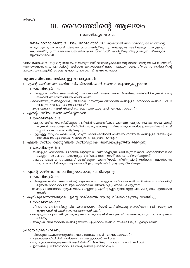### 18. ദൈവത്തിന്റെ ആലയം

1 കൊരിന്ത്യർ 6:12-20

മനഃപാഠമാക്കേണ്ട വചനം: റോമാക്കാർ 12:1 ആ*കയാൽ സഹോദരരേ, ദൈവത്തിന്റെ* കാരുണ്യം മൂലം ഞാൻ നിങ്ങളെ പ്രബോധിപ്പിക്കുന്നു. നിങ്ങളുടെ ശരീരങ്ങളെ വിശുദ്ധവും ദൈവത്തിനു പ്രസാദകരവുമായ ജീവനുള്ള യാഗമായി സമർപ്പിക്കുവിൻ; ഇതത്രേ നിങ്ങളുടെ ആത്മീയാരാധന.

പാഠസംഗ്രഹാ: നല്ല ഒരു ജീവിതം നയിക്കുന്നതിന് ആരോഗ്യകരമായ ഒരു ശരീരം അത്യന്താപേക്ഷിതമാണ്. ആരോഗ്യവാനാകുക എന്നതിന്റെ ശരിയായ മനോഭാവത്തിലേക്കു നമുക്കു വരാം. നിങ്ങളുടെ ശരീരത്തിന്റെ പ്രാധാന്യത്തെക്കുറിച്ച് ദൈവം എന്താണു പറയുന്നത് എന്നു നോക്കാം.

#### ആത്മപരിശോധനയ്ക്കുള്ള ചോദൃങ്ങൾ:

- 1. എന്റെ ശരീരത്തെ ശരിയായിപരിരക്ഷിക്കാൻ ദൈവം ആവശ്യപ്പെടുന്നു:
	- 1 കൊരിന്ത്യർ 6:12
	- നിങ്ങളുടെ ശരീരം ദൈവത്തിന്റെ സമ്മാനമാണ്. ദൈവം അതുനിങ്ങൾക്കു നല്കിയിരിക്കുന്നത് അതു നന്നായി നോക്കിനടത്താൻ വേണ്ടിയാണ്.
	- ദൈവത്തിനു നിങ്ങളെക്കുറിച്ച് അഭിമാനം തോന്നുന്ന വിധത്തിൽ നിങ്ങളുടെ ശരീരത്തെ നിങ്ങൾ പരിപാ ലിക്കുന്ന വഴികൾ എന്തൊക്കെയാണ്?
	- മാറ്റം വരുത്തണമെന്ന് നിങ്ങൾക്കു തോന്നുന്ന കാര്യങ്ങൾ എന്തൊക്കെയാണ്?
- 2. എന്റെ ശരീരം ദൈവത്തിന്റേതാണ്:
	- 1 കൊരിന്ത്യർ 6:13
	- നമ്മുടെ ശരീരം നമുക്കിഷ്ടമുള്ള രീതിയിൽ ഉപയോഗിക്കാം എന്നാണ് നമ്മുടെ സമൂഹം നമ്മെ പഠിപ്പി ക്കുന്നത്. അയോഗ്യമായ രീതിയിൽ നമുക്കു തോന്നുന്ന വിധം നമ്മുടെ ശരീരം ഉപയോഗിക്കാൻ പാടി ല്ലെന്ന് വചനം നമ്മെ പഠിപ്പിക്കുന്നു.
	- ചുറ്റുമുള്ള സമൂഹം നമ്മെ പഠിപ്പിക്കുന്ന രീതിക്കെതിരായി ശരിയായ രീതിയിൽ നിങ്ങളുടെ ശരീരം ഉപ യോഗിക്കാൻ ഏതൊക്കെ വിധത്തിൽ പൊരുതാൻ കഴിയും?
- 3. എന്റെ ശരീരം യേശുവിന്റെ ശരീരവുമായി ബന്ധപെടുത്തിയിരിക്കുന്നു:
	- 1 കൊരിന്ത്യർ 6:15
	- നിങ്ങളുടെ ശരീരത്തെ ദൈവത്തിന്റേതുമായി ബന്ധപ്പെടുത്തിയിരിക്കുന്നതിനാൽ ശരീരത്തിനെതിരെ ചെയ്യുന്ന പാപങ്ങളെ പ്രധാനപ്പെട്ട രീതിയിൽ തന്നെയാണ് ദൈവം പരിഗണിക്കുന്നത്.
	- നമ്മുടെ പാപം മറ്റുള്ളവരെകുടി ബാധിക്കുന്നു എന്നതിനാൽ, ക്രിസ്തുവിന്റെ ശരീരത്തെ ബാധിക്കുന്ന ഒരു പാപത്തിൽ മാറ്റം വരുത്താനായി ഈ ആഴ്ചയിൽ ശ്രദ്ധകേന്ദ്രീകരിക്കുക.
- 4. എന്റെ ശരീരത്തിൽ പരിശുദ്ധാത്മാവു വസിക്കുന്നു:
	- 1 കൊരിന്ത്യർ 6:19
	- നിങ്ങളുടെ ശരീരം ദൈവത്തിന്റെ ആലയമാണ്. നിങ്ങളുടെ ശരീരത്തെ ശരിയായി നിങ്ങൾ പരിപാലിച്ചി ല്ലെങ്കിൽ ദൈവത്തിന്റെ ആലയത്തെയാണ് നിങ്ങൾ ദുരുപയോഗം ചെയ്യുന്നത്.
	- നിങ്ങളുടെ ശരീരത്തെ ദുരുപയോഗം ചെയ്യുന്നില്ല എന്ന് ഉറപ്പുവരുത്താനുള്ള ചില കാര്യങ്ങൾ ഏതൊക്കെ താണ്?
- 5. കുരിശുമരണത്തിലൂടെ എന്റെ ശരീരത്തെ യേശു വിലകൊടുത്തു വാങ്ങിച്ചു.
	- 1 കൊരിന്ത്യർ 6:20
	- നിങ്ങളുടെ ശരീരത്തിന്റെ വില എത്രയാണെന്നറിയാൻ കുരിശിലേക്കു നോക്കിയാൽ മതി. യേശു പറ യുന്നു അത് വിലമതിക്കാനാവാത്തതാണ് എന്ന്.
	- അമുല്യമായ എന്തെങ്കിലും നമുക്കു സ്വന്തമായുണ്ടെങ്കിൽ നമ്മുടെ ജീവനെക്കൊടുത്തും നാം അതു സംര ക്ഷിക്കും.
	- അനുദിന ജീവിതത്തിൽ നിങ്ങളെത്തന്നെ എപ്രകാരം നിങ്ങൾ സംരക്ഷിക്കും? എന്തുകൊണ്ട്?

- നിങ്ങളുടെ ഭക്ഷണകാര്യത്തിൽ വരുത്തേണ്ടമാറ്റങ്ങൾ എന്തൊക്കെയാണ്?
- ഏതൊക്കെ രീതിയിൽ ശരീരത്തെ ബലപ്പെടുത്താൻ കഴിയും?
- ഒരു പുരോഗതിയുണ്ടാക്കാൻ ആരിൽനിന്ന് നിങ്ങൾക്കു സഹായം തേടാൻ കഴിയും?
- ഇതുവരെ പ്രാർത്ഥിക്കാത്ത ഒരാൾക്കുവേണ്ടി പ്രാർത്ഥിക്കുക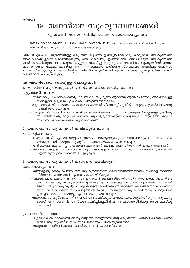### 19. യഥാർത്ഥ സുഹൃദ്ബന്ധങ്ങൾ

എബ്രായർ 10:24-25, ഫിലിപ്പിയർ 2:3-7, കൊലോസ്യർ 3:13

#### മനഃപാഠമാക്കേണ്ട വചനം: യോഹന്നാൻ 15:13 *സ്നേഹിതർക്കുവേണ്ടി ജീവൻ തൃജി* ക്കുന്നതിലും വലുതായ സ്നേഹം ആർക്കും ഇല്ല.

പാഠസംഗ്രഹം: ആഴത്തിലുള്ള ഒരു ബന്ധമില്ലാത്ത ഉപരിപ്ലവമായ ഒരു കാര്യമായി സുഹൃദ്ബന്ധ ങ്ങൾ ശോഷിച്ചുവന്നുകൊണ്ടിരിക്കുന്നു. പുറം കാഴ്ചയും ഉപ്യോഗവും നോക്കിമാത്രം സുഹൃദ്ബന്ധ ങ്ങൾ സ്ഥാപിക്കുന്ന ആളുകളുടെ എണ്ണവും വർദ്ധിച്ചു വരുന്നു. ഒരു യഥാർത്ഥ സുഹൃത്തിന്റെ ഉത്തമ മാതൃക യേശു നമുക്കു കാണിച്ചു തരുന്നു – ക്ഷമയും എളിമയും സ്നേഹവും കാണിച്ചും പ്രോത്സാ ഹനം നല്കിയുമെല്ലാം. യേശുവിന്റെ കാലടികൾ പിന്തുടർന്നാൽ മാത്രമേ നമുക്കു നല്ല സുഹൃദ്ബന്ധങ്ങൾ വളർത്താൻ കഴിയുകയുള്ളൂ.

#### ആത്മപരിശോധനയ്ക്കുള്ള ചോദ്യങ്ങൾ:

1. യഥാർത്ഥ സുഹൃത്തുക്കൾ പരസ്പരം പ്രോത്സാഹിപ്പിക്കുന്നു:

എബ്രായർ 10:24-25

- സ്നേഹവും പ്രോത്സാഹനവും വേണ്ട ഒരു സുഹൃത്ത് ആരെന്നു ആലോചിക്കുക, അവരോടുള്ള നിങ്ങളുടെ കരുതൽ എപ്രകാരം പങ്കുവയ്ക്കാനാകും?
- മറ്റുള്ളവരുമായി പ്രയോജനപ്രദമായ സമയങ്ങൾ ചിലവഴിച്ചില്ലെങ്കിൽ നമ്മുടെ കൂട്ടായ്മക്ക് എന്തു സംഭവിക്കും (വാ 25)?
- നമ്മുടെ ജീവിതത്തിൽ പുരോഗതി ഉണ്ടാകാൻ വേണ്ടി നല്ല സുഹൃത്തുക്കൾ നല്ലവണ്ണം ശ്രമിക്കു ന്നു. നിങ്ങൾക്കു മാറ്റം വരുത്താൻ ബുദ്ധിമുട്ടുതോന്നുന്ന കാര്യങ്ങളിൽ സുഹൃത്തുക്കളുടെ സഹായം തേടുന്നുണ്ടോ? എന്തുകൊണ്ട?
- 2. യഥാർത്ഥ സുഹൃത്തുക്കൾ എളിമയുള്ളവരാണ്:

ഫിലിപ്പിയർ 2:3-7

- നമ്മുടെ താത്പര്യം മാത്രമല്ലാതെ നമ്മുടെ സുഹൃത്തുക്കളുടെ താത്പര്യവും കൂടി നാം പരിഗ ണിക്കുമ്പോൾ നമ്മുടെ സുഹൃദ്ബന്ധങ്ങൾ എപ്രകാരമുള്ളതാകും?
- എളിമയുള്ള ഒരു മനസ്സു നമുക്കുണ്ടാകണമെന്ന് ദൈവം ഉപദേശിക്കുന്നത് എന്തുകൊണ്ടാണ്?
- ദൈവവുമായുള്ള ബന്ധത്തിൽ യേശു സ്വയം എളിമപ്പെടുത്തി വാ 7. നമുക്ക് അനുകരിക്കാൻ പറ്റുന്ന മൂന്ന് ഉദാഹരണങ്ങൾ എഴുതുക.
- 3. യഥാർത്ഥ സുഹൃത്തുക്കൾ പരസ്പരം ക്ഷമിക്കുന്നു:

കൊലോസ്യർ 3:13

- നിങ്ങളോടു തെറ്റു ചെയ്ത ഒരു സുഹൃത്തിനോടു ക്ഷമിക്കുന്നതിൽനിന്നും നിങ്ങളെ തടഞ്ഞു നിർത്തുന്ന കാര്യങ്ങൾ എന്തൊക്കെയായിരിക്കും?
- നമ്മുടെ പാപപ്രകൃതിയെ അനുസരിച്ചുകൊണ്ട് ദൈവത്തിനെതിരെ നിരന്തരം പാപം ചെയ്തിട്ടും ദൈവം നമ്മോടു പൊറുക്കാൻ തയ്യാറാകുന്നു. നമ്മോടുള്ള ബന്ധത്തിൽ ഉപേക്ഷ വരുത്താൻ ദൈവം തയ്യാറാകുന്നുമില്ല – നല്ല കാര്യങ്ങൾ പിന്നീടുണ്ടാകുമെന്ന് ദൈവത്തിനറിയാമെന്നതി നാൽ. വിഷമകരമായ സാഹചര്യത്തിൽ പോലും നിങ്ങളുടെ സുഹൃത്തിനോടു പൊറുക്കാൻ ഈ ഉദാഹരണം നിങ്ങളെ എപ്രകാരം സഹായിക്കും?
- യഥാർത്ഥ സുഹൃദ്ബന്ധത്തിൽ പരസ്പരം ക്ഷമിക്കുക എന്നത് പ്രാധാന്യമർഹിക്കുന്ന ഒരു കാര്യ മായത് എന്തുകൊണ്ട്? പരസ്പരം ക്ഷമിച്ചില്ലെങ്കിൽ എന്തൊക്കെയായിരിക്കും ഉദയം ചെയ്തു വരുന്നത്?

- കൂട്ടായ്മയിൽ കാര്യമായി അടുപ്പമില്ലാത്ത ഒരാളുമായി നല്ല ഒരു സമയം ചിലവഴിക്കാനും പുതു തായി ഒരു സുഹൃദ്ബന്ധം സ്ഥാപിക്കാനും പദ്ധതിയുണ്ടാക്കുക.
- ഇതുവരെ പ്രാർത്ഥിക്കാത്ത ഒരാൾക്കുവേണ്ടി പ്രാർത്ഥിക്കുക